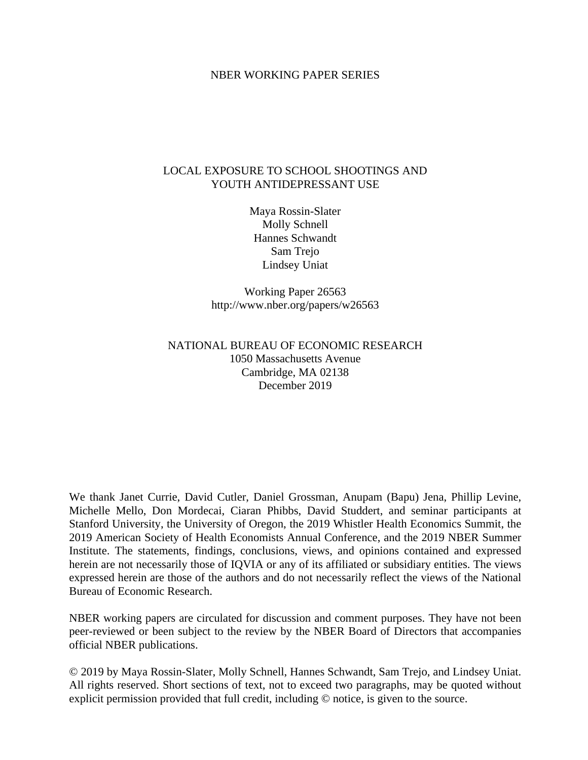#### NBER WORKING PAPER SERIES

#### LOCAL EXPOSURE TO SCHOOL SHOOTINGS AND YOUTH ANTIDEPRESSANT USE

Maya Rossin-Slater Molly Schnell Hannes Schwandt Sam Trejo Lindsey Uniat

Working Paper 26563 http://www.nber.org/papers/w26563

#### NATIONAL BUREAU OF ECONOMIC RESEARCH 1050 Massachusetts Avenue Cambridge, MA 02138 December 2019

We thank Janet Currie, David Cutler, Daniel Grossman, Anupam (Bapu) Jena, Phillip Levine, Michelle Mello, Don Mordecai, Ciaran Phibbs, David Studdert, and seminar participants at Stanford University, the University of Oregon, the 2019 Whistler Health Economics Summit, the 2019 American Society of Health Economists Annual Conference, and the 2019 NBER Summer Institute. The statements, findings, conclusions, views, and opinions contained and expressed herein are not necessarily those of IQVIA or any of its affiliated or subsidiary entities. The views expressed herein are those of the authors and do not necessarily reflect the views of the National Bureau of Economic Research.

NBER working papers are circulated for discussion and comment purposes. They have not been peer-reviewed or been subject to the review by the NBER Board of Directors that accompanies official NBER publications.

© 2019 by Maya Rossin-Slater, Molly Schnell, Hannes Schwandt, Sam Trejo, and Lindsey Uniat. All rights reserved. Short sections of text, not to exceed two paragraphs, may be quoted without explicit permission provided that full credit, including © notice, is given to the source.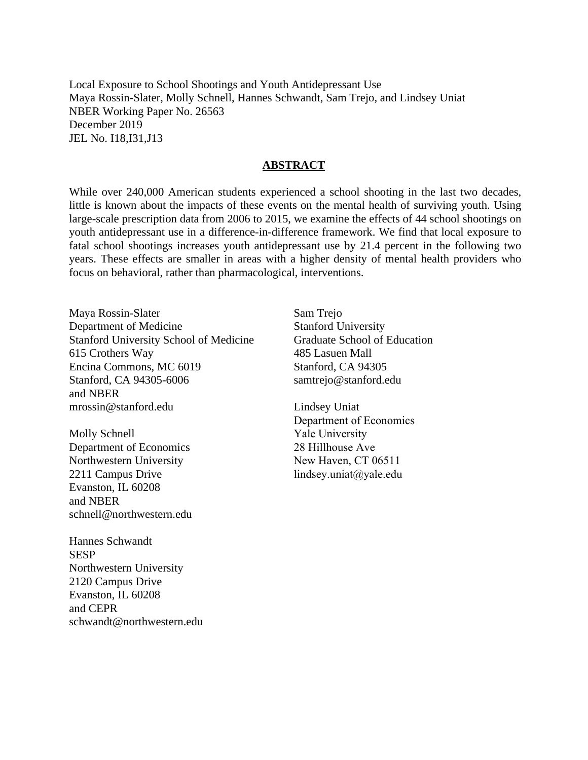Local Exposure to School Shootings and Youth Antidepressant Use Maya Rossin-Slater, Molly Schnell, Hannes Schwandt, Sam Trejo, and Lindsey Uniat NBER Working Paper No. 26563 December 2019 JEL No. I18,I31,J13

#### **ABSTRACT**

While over 240,000 American students experienced a school shooting in the last two decades, little is known about the impacts of these events on the mental health of surviving youth. Using large-scale prescription data from 2006 to 2015, we examine the effects of 44 school shootings on youth antidepressant use in a difference-in-difference framework. We find that local exposure to fatal school shootings increases youth antidepressant use by 21.4 percent in the following two years. These effects are smaller in areas with a higher density of mental health providers who focus on behavioral, rather than pharmacological, interventions.

Maya Rossin-Slater Department of Medicine Stanford University School of Medicine 615 Crothers Way Encina Commons, MC 6019 Stanford, CA 94305-6006 and NBER mrossin@stanford.edu

Molly Schnell Department of Economics Northwestern University 2211 Campus Drive Evanston, IL 60208 and NBER schnell@northwestern.edu

Hannes Schwandt **SESP** Northwestern University 2120 Campus Drive Evanston, IL 60208 and CEPR schwandt@northwestern.edu Sam Trejo Stanford University Graduate School of Education 485 Lasuen Mall Stanford, CA 94305 samtrejo@stanford.edu

Lindsey Uniat Department of Economics Yale University 28 Hillhouse Ave New Haven, CT 06511 lindsey.uniat@yale.edu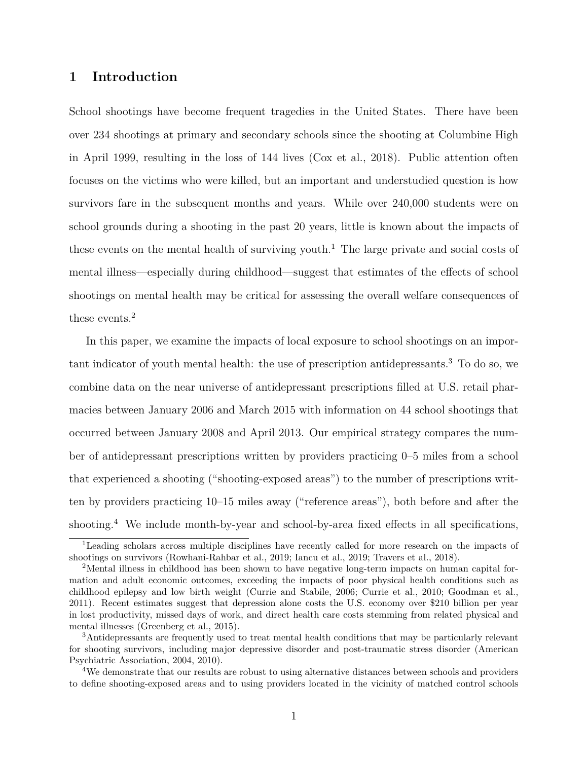#### **1 Introduction**

School shootings have become frequent tragedies in the United States. There have been over 234 shootings at primary and secondary schools since the shooting at Columbine High in April 1999, resulting in the loss of 144 lives [\(Cox et al., 2018\)](#page-17-0). Public attention often focuses on the victims who were killed, but an important and understudied question is how survivors fare in the subsequent months and years. While over 240,000 students were on school grounds during a shooting in the past 20 years, little is known about the impacts of these events on the mental health of surviving youth.<sup>1</sup> The large private and social costs of mental illness—especially during childhood—suggest that estimates of the effects of school shootings on mental health may be critical for assessing the overall welfare consequences of these events.<sup>2</sup>

In this paper, we examine the impacts of local exposure to school shootings on an important indicator of youth mental health: the use of prescription antidepressants.<sup>3</sup> To do so, we combine data on the near universe of antidepressant prescriptions filled at U.S. retail pharmacies between January 2006 and March 2015 with information on 44 school shootings that occurred between January 2008 and April 2013. Our empirical strategy compares the number of antidepressant prescriptions written by providers practicing 0–5 miles from a school that experienced a shooting ("shooting-exposed areas") to the number of prescriptions written by providers practicing 10–15 miles away ("reference areas"), both before and after the shooting.<sup>4</sup> We include month-by-year and school-by-area fixed effects in all specifications,

<sup>1</sup>Leading scholars across multiple disciplines have recently called for more research on the impacts of shootings on survivors [\(Rowhani-Rahbar et al., 2019;](#page-19-0) [Iancu et al., 2019;](#page-18-0) [Travers et al., 2018\)](#page-20-0).

<sup>&</sup>lt;sup>2</sup>Mental illness in childhood has been shown to have negative long-term impacts on human capital formation and adult economic outcomes, exceeding the impacts of poor physical health conditions such as childhood epilepsy and low birth weight [\(Currie and Stabile, 2006;](#page-17-1) [Currie et al., 2010;](#page-17-2) [Goodman et al.,](#page-18-1) [2011\)](#page-18-1). Recent estimates suggest that depression alone costs the U.S. economy over \$210 billion per year in lost productivity, missed days of work, and direct health care costs stemming from related physical and mental illnesses [\(Greenberg et al., 2015\)](#page-18-2).

<sup>3</sup>Antidepressants are frequently used to treat mental health conditions that may be particularly relevant for shooting survivors, including major depressive disorder and post-traumatic stress disorder [\(American](#page-17-3) [Psychiatric Association, 2004,](#page-17-3) [2010\)](#page-17-4).

<sup>&</sup>lt;sup>4</sup>We demonstrate that our results are robust to using alternative distances between schools and providers to define shooting-exposed areas and to using providers located in the vicinity of matched control schools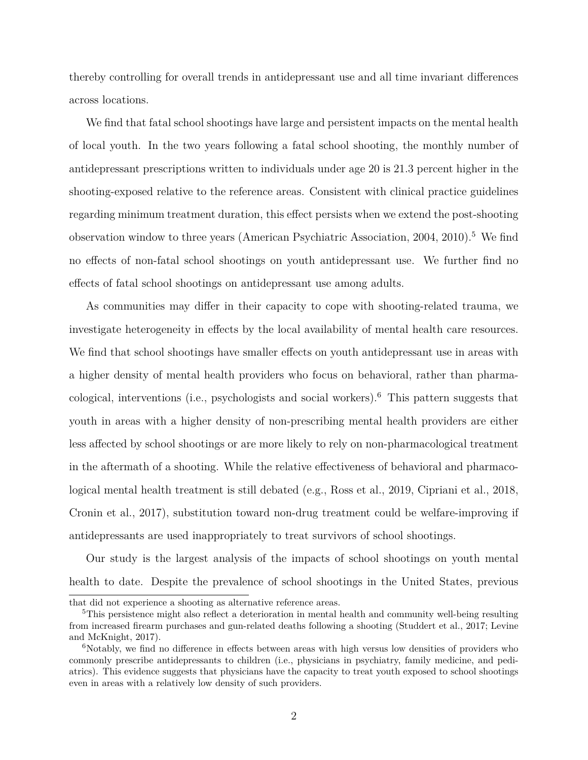thereby controlling for overall trends in antidepressant use and all time invariant differences across locations.

We find that fatal school shootings have large and persistent impacts on the mental health of local youth. In the two years following a fatal school shooting, the monthly number of antidepressant prescriptions written to individuals under age 20 is 21.3 percent higher in the shooting-exposed relative to the reference areas. Consistent with clinical practice guidelines regarding minimum treatment duration, this effect persists when we extend the post-shooting observation window to three years [\(American Psychiatric Association, 2004,](#page-17-3) [2010\)](#page-17-4).<sup>5</sup> We find no effects of non-fatal school shootings on youth antidepressant use. We further find no effects of fatal school shootings on antidepressant use among adults.

As communities may differ in their capacity to cope with shooting-related trauma, we investigate heterogeneity in effects by the local availability of mental health care resources. We find that school shootings have smaller effects on youth antidepressant use in areas with a higher density of mental health providers who focus on behavioral, rather than pharmacological, interventions (i.e., psychologists and social workers).<sup>6</sup> This pattern suggests that youth in areas with a higher density of non-prescribing mental health providers are either less affected by school shootings or are more likely to rely on non-pharmacological treatment in the aftermath of a shooting. While the relative effectiveness of behavioral and pharmacological mental health treatment is still debated (e.g., [Ross et al., 2019,](#page-19-1) [Cipriani et al., 2018,](#page-17-5) [Cronin et al., 2017\)](#page-17-6), substitution toward non-drug treatment could be welfare-improving if antidepressants are used inappropriately to treat survivors of school shootings.

Our study is the largest analysis of the impacts of school shootings on youth mental health to date. Despite the prevalence of school shootings in the United States, previous

that did not experience a shooting as alternative reference areas.

<sup>&</sup>lt;sup>5</sup>This persistence might also reflect a deterioration in mental health and community well-being resulting from increased firearm purchases and gun-related deaths following a shooting [\(Studdert et al., 2017;](#page-20-1) [Levine](#page-18-3) [and McKnight, 2017\)](#page-18-3).

<sup>&</sup>lt;sup>6</sup>Notably, we find no difference in effects between areas with high versus low densities of providers who commonly prescribe antidepressants to children (i.e., physicians in psychiatry, family medicine, and pediatrics). This evidence suggests that physicians have the capacity to treat youth exposed to school shootings even in areas with a relatively low density of such providers.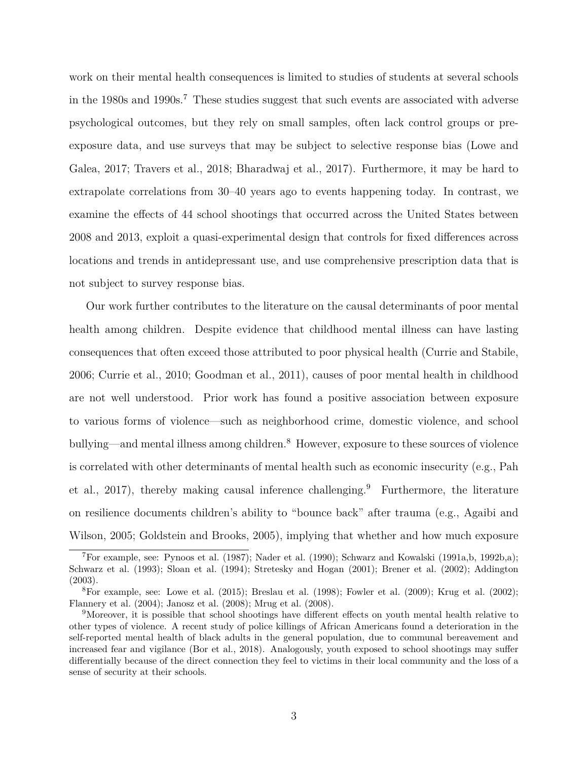work on their mental health consequences is limited to studies of students at several schools in the 1980s and 1990s.<sup>7</sup> These studies suggest that such events are associated with adverse psychological outcomes, but they rely on small samples, often lack control groups or preexposure data, and use surveys that may be subject to selective response bias [\(Lowe and](#page-18-4) [Galea, 2017;](#page-18-4) [Travers et al., 2018;](#page-20-0) [Bharadwaj et al., 2017\)](#page-17-7). Furthermore, it may be hard to extrapolate correlations from 30–40 years ago to events happening today. In contrast, we examine the effects of 44 school shootings that occurred across the United States between 2008 and 2013, exploit a quasi-experimental design that controls for fixed differences across locations and trends in antidepressant use, and use comprehensive prescription data that is not subject to survey response bias.

Our work further contributes to the literature on the causal determinants of poor mental health among children. Despite evidence that childhood mental illness can have lasting consequences that often exceed those attributed to poor physical health [\(Currie and Stabile,](#page-17-1) [2006;](#page-17-1) [Currie et al., 2010;](#page-17-2) [Goodman et al., 2011\)](#page-18-1), causes of poor mental health in childhood are not well understood. Prior work has found a positive association between exposure to various forms of violence—such as neighborhood crime, domestic violence, and school bullying—and mental illness among children.<sup>8</sup> However, exposure to these sources of violence is correlated with other determinants of mental health such as economic insecurity (e.g., [Pah](#page-19-2) [et al., 2017\)](#page-19-2), thereby making causal inference challenging.<sup>9</sup> Furthermore, the literature on resilience documents children's ability to "bounce back" after trauma (e.g., [Agaibi and](#page-17-8) [Wilson, 2005;](#page-17-8) [Goldstein and Brooks, 2005\)](#page-18-5), implying that whether and how much exposure

<sup>7</sup>For example, see: [Pynoos et al.](#page-19-3) [\(1987\)](#page-19-3); [Nader et al.](#page-19-4) [\(1990\)](#page-19-4); [Schwarz and Kowalski](#page-19-5) [\(1991a](#page-19-5)[,b,](#page-19-6) [1992b,](#page-19-7)[a\)](#page-19-8); [Schwarz et al.](#page-19-9) [\(1993\)](#page-19-9); [Sloan et al.](#page-19-10) [\(1994\)](#page-19-10); [Stretesky and Hogan](#page-19-11) [\(2001\)](#page-19-11); [Brener et al.](#page-17-9) [\(2002\)](#page-17-9); [Addington](#page-17-10) [\(2003\)](#page-17-10).

<sup>&</sup>lt;sup>8</sup>For example, see: [Lowe et al.](#page-18-6) [\(2015\)](#page-18-6); [Breslau et al.](#page-17-11) [\(1998\)](#page-17-11); [Fowler et al.](#page-18-7) [\(2009\)](#page-18-7); [Krug et al.](#page-18-8) [\(2002\)](#page-18-8); [Flannery et al.](#page-18-9) [\(2004\)](#page-18-9); [Janosz et al.](#page-18-10) [\(2008\)](#page-18-10); [Mrug et al.](#page-18-11) [\(2008\)](#page-18-11).

<sup>&</sup>lt;sup>9</sup>Moreover, it is possible that school shootings have different effects on youth mental health relative to other types of violence. A recent study of police killings of African Americans found a deterioration in the self-reported mental health of black adults in the general population, due to communal bereavement and increased fear and vigilance [\(Bor et al., 2018\)](#page-17-12). Analogously, youth exposed to school shootings may suffer differentially because of the direct connection they feel to victims in their local community and the loss of a sense of security at their schools.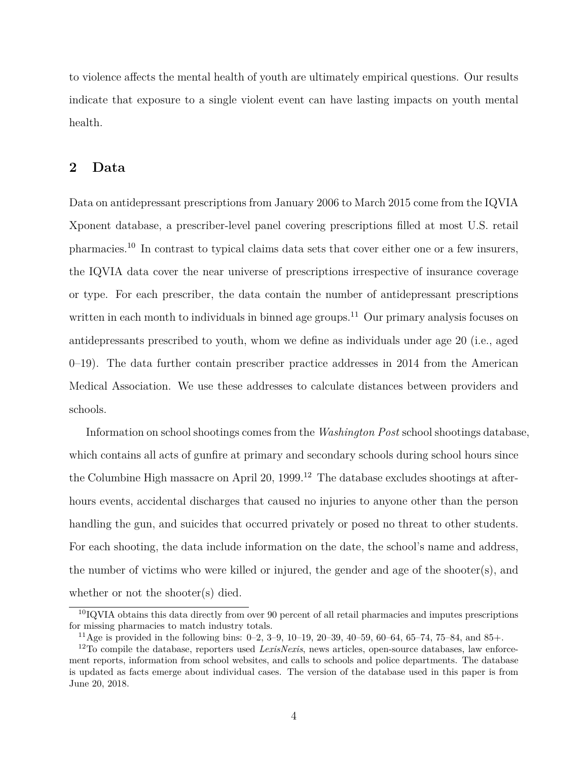to violence affects the mental health of youth are ultimately empirical questions. Our results indicate that exposure to a single violent event can have lasting impacts on youth mental health.

#### <span id="page-5-0"></span>**2 Data**

Data on antidepressant prescriptions from January 2006 to March 2015 come from the IQVIA Xponent database, a prescriber-level panel covering prescriptions filled at most U.S. retail pharmacies.<sup>10</sup> In contrast to typical claims data sets that cover either one or a few insurers, the IQVIA data cover the near universe of prescriptions irrespective of insurance coverage or type. For each prescriber, the data contain the number of antidepressant prescriptions written in each month to individuals in binned age groups.<sup>11</sup> Our primary analysis focuses on antidepressants prescribed to youth, whom we define as individuals under age 20 (i.e., aged 0–19). The data further contain prescriber practice addresses in 2014 from the American Medical Association. We use these addresses to calculate distances between providers and schools.

Information on school shootings comes from the *Washington Post* school shootings database, which contains all acts of gunfire at primary and secondary schools during school hours since the Columbine High massacre on April 20,  $1999<sup>12</sup>$  The database excludes shootings at afterhours events, accidental discharges that caused no injuries to anyone other than the person handling the gun, and suicides that occurred privately or posed no threat to other students. For each shooting, the data include information on the date, the school's name and address, the number of victims who were killed or injured, the gender and age of the shooter(s), and whether or not the shooter(s) died.

 $10IQVIA$  obtains this data directly from over 90 percent of all retail pharmacies and imputes prescriptions for missing pharmacies to match industry totals.

 $11\,\text{Age}$  is provided in the following bins: 0–2, 3–9, 10–19, 20–39, 40–59, 60–64, 65–74, 75–84, and 85+.

<sup>12</sup>To compile the database, reporters used *LexisNexis*, news articles, open-source databases, law enforcement reports, information from school websites, and calls to schools and police departments. The database is updated as facts emerge about individual cases. The version of the database used in this paper is from June 20, 2018.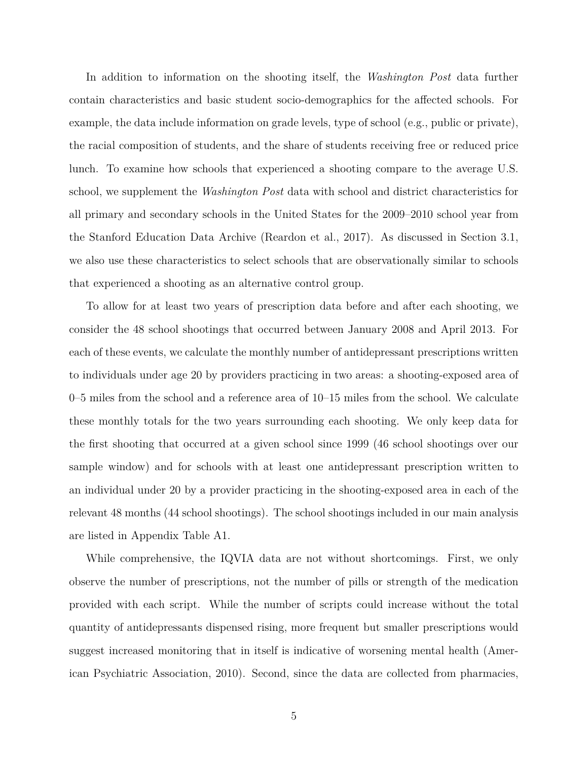In addition to information on the shooting itself, the *Washington Post* data further contain characteristics and basic student socio-demographics for the affected schools. For example, the data include information on grade levels, type of school (e.g., public or private), the racial composition of students, and the share of students receiving free or reduced price lunch. To examine how schools that experienced a shooting compare to the average U.S. school, we supplement the *Washington Post* data with school and district characteristics for all primary and secondary schools in the United States for the 2009–2010 school year from the Stanford Education Data Archive [\(Reardon et al., 2017\)](#page-19-12). As discussed in Section [3.1,](#page-10-0) we also use these characteristics to select schools that are observationally similar to schools that experienced a shooting as an alternative control group.

To allow for at least two years of prescription data before and after each shooting, we consider the 48 school shootings that occurred between January 2008 and April 2013. For each of these events, we calculate the monthly number of antidepressant prescriptions written to individuals under age 20 by providers practicing in two areas: a shooting-exposed area of 0–5 miles from the school and a reference area of 10–15 miles from the school. We calculate these monthly totals for the two years surrounding each shooting. We only keep data for the first shooting that occurred at a given school since 1999 (46 school shootings over our sample window) and for schools with at least one antidepressant prescription written to an individual under 20 by a provider practicing in the shooting-exposed area in each of the relevant 48 months (44 school shootings). The school shootings included in our main analysis are listed in Appendix Table [A1.](#page-34-0)

While comprehensive, the IQVIA data are not without shortcomings. First, we only observe the number of prescriptions, not the number of pills or strength of the medication provided with each script. While the number of scripts could increase without the total quantity of antidepressants dispensed rising, more frequent but smaller prescriptions would suggest increased monitoring that in itself is indicative of worsening mental health [\(Amer](#page-17-4)[ican Psychiatric Association, 2010\)](#page-17-4). Second, since the data are collected from pharmacies,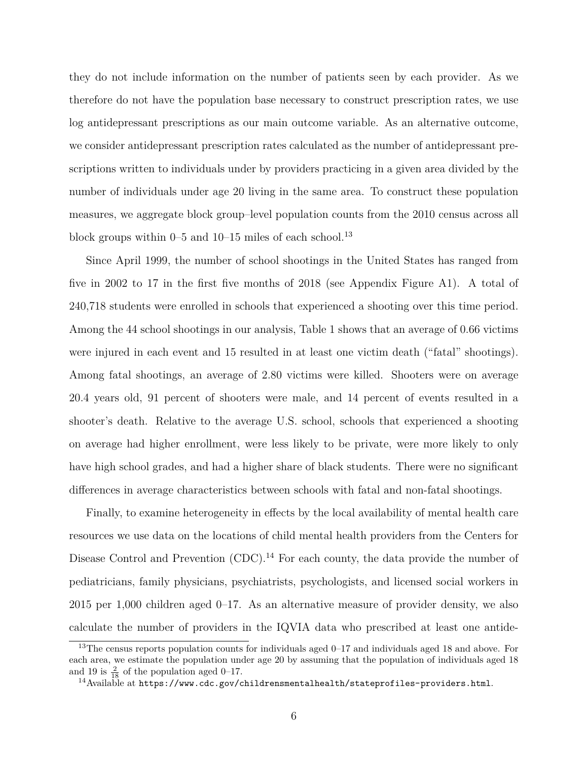they do not include information on the number of patients seen by each provider. As we therefore do not have the population base necessary to construct prescription rates, we use log antidepressant prescriptions as our main outcome variable. As an alternative outcome, we consider antidepressant prescription rates calculated as the number of antidepressant prescriptions written to individuals under by providers practicing in a given area divided by the number of individuals under age 20 living in the same area. To construct these population measures, we aggregate block group–level population counts from the 2010 census across all block groups within  $0-5$  and  $10-15$  miles of each school.<sup>13</sup>

Since April 1999, the number of school shootings in the United States has ranged from five in 2002 to 17 in the first five months of 2018 (see Appendix Figure [A1\)](#page-26-0). A total of 240,718 students were enrolled in schools that experienced a shooting over this time period. Among the 44 school shootings in our analysis, Table [1](#page-23-0) shows that an average of 0.66 victims were injured in each event and 15 resulted in at least one victim death ("fatal" shootings). Among fatal shootings, an average of 2.80 victims were killed. Shooters were on average 20.4 years old, 91 percent of shooters were male, and 14 percent of events resulted in a shooter's death. Relative to the average U.S. school, schools that experienced a shooting on average had higher enrollment, were less likely to be private, were more likely to only have high school grades, and had a higher share of black students. There were no significant differences in average characteristics between schools with fatal and non-fatal shootings.

Finally, to examine heterogeneity in effects by the local availability of mental health care resources we use data on the locations of child mental health providers from the Centers for Disease Control and Prevention  $(CDC)^{14}$  For each county, the data provide the number of pediatricians, family physicians, psychiatrists, psychologists, and licensed social workers in 2015 per 1,000 children aged 0–17. As an alternative measure of provider density, we also calculate the number of providers in the IQVIA data who prescribed at least one antide-

 $13$ The census reports population counts for individuals aged 0–17 and individuals aged 18 and above. For each area, we estimate the population under age 20 by assuming that the population of individuals aged 18 and 19 is  $\frac{2}{18}$  of the population aged 0–17.

<sup>&</sup>lt;sup>14</sup>Available at <https://www.cdc.gov/childrensmentalhealth/stateprofiles-providers.html>.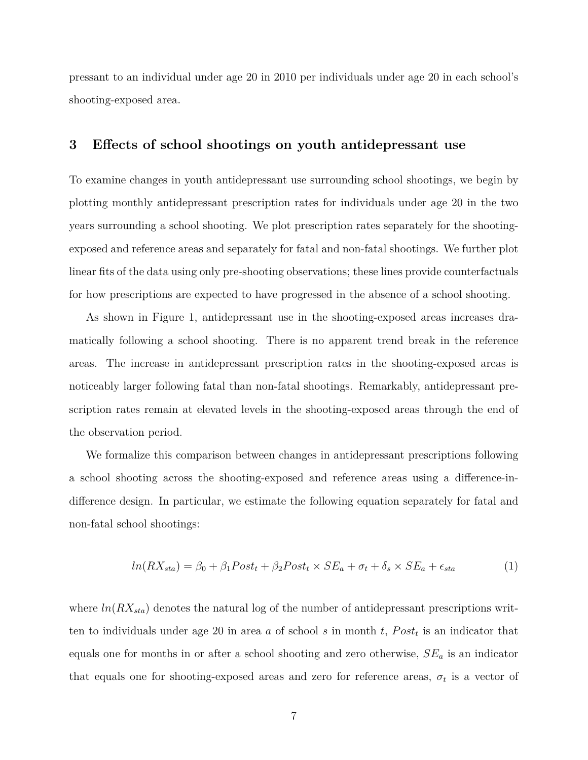pressant to an individual under age 20 in 2010 per individuals under age 20 in each school's shooting-exposed area.

#### <span id="page-8-1"></span>**3 Effects of school shootings on youth antidepressant use**

To examine changes in youth antidepressant use surrounding school shootings, we begin by plotting monthly antidepressant prescription rates for individuals under age 20 in the two years surrounding a school shooting. We plot prescription rates separately for the shootingexposed and reference areas and separately for fatal and non-fatal shootings. We further plot linear fits of the data using only pre-shooting observations; these lines provide counterfactuals for how prescriptions are expected to have progressed in the absence of a school shooting.

As shown in Figure [1,](#page-21-0) antidepressant use in the shooting-exposed areas increases dramatically following a school shooting. There is no apparent trend break in the reference areas. The increase in antidepressant prescription rates in the shooting-exposed areas is noticeably larger following fatal than non-fatal shootings. Remarkably, antidepressant prescription rates remain at elevated levels in the shooting-exposed areas through the end of the observation period.

We formalize this comparison between changes in antidepressant prescriptions following a school shooting across the shooting-exposed and reference areas using a difference-indifference design. In particular, we estimate the following equation separately for fatal and non-fatal school shootings:

<span id="page-8-0"></span>
$$
ln(RX_{sta}) = \beta_0 + \beta_1 Post_t + \beta_2 Post_t \times SE_a + \sigma_t + \delta_s \times SE_a + \epsilon_{sta}
$$
 (1)

where  $ln(RX_{sta})$  denotes the natural log of the number of antidepressant prescriptions written to individuals under age 20 in area *a* of school *s* in month *t*, *P ost<sup>t</sup>* is an indicator that equals one for months in or after a school shooting and zero otherwise, *SE<sup>a</sup>* is an indicator that equals one for shooting-exposed areas and zero for reference areas,  $\sigma_t$  is a vector of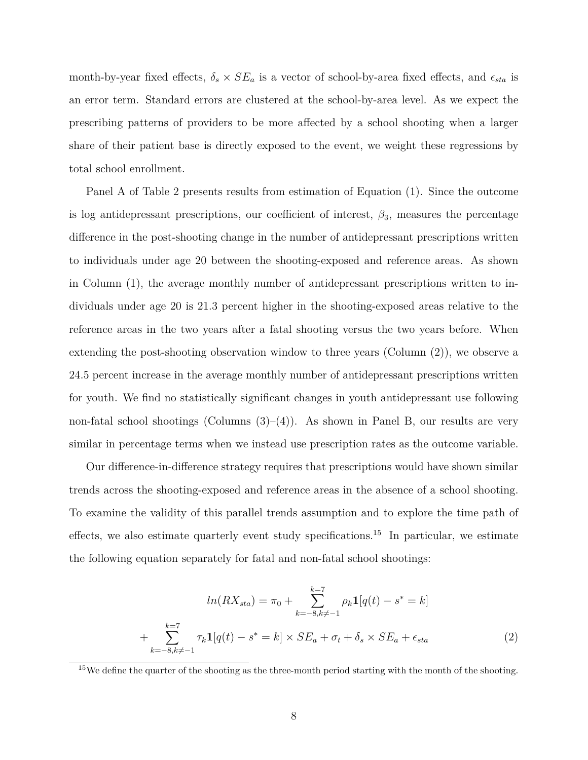month-by-year fixed effects,  $\delta_s \times SE_a$  is a vector of school-by-area fixed effects, and  $\epsilon_{sta}$  is an error term. Standard errors are clustered at the school-by-area level. As we expect the prescribing patterns of providers to be more affected by a school shooting when a larger share of their patient base is directly exposed to the event, we weight these regressions by total school enrollment.

Panel A of Table [2](#page-24-0) presents results from estimation of Equation [\(1\)](#page-8-0). Since the outcome is log antidepressant prescriptions, our coefficient of interest,  $\beta_3$ , measures the percentage difference in the post-shooting change in the number of antidepressant prescriptions written to individuals under age 20 between the shooting-exposed and reference areas. As shown in Column (1), the average monthly number of antidepressant prescriptions written to individuals under age 20 is 21.3 percent higher in the shooting-exposed areas relative to the reference areas in the two years after a fatal shooting versus the two years before. When extending the post-shooting observation window to three years (Column (2)), we observe a 24.5 percent increase in the average monthly number of antidepressant prescriptions written for youth. We find no statistically significant changes in youth antidepressant use following non-fatal school shootings (Columns  $(3)$ – $(4)$ ). As shown in Panel B, our results are very similar in percentage terms when we instead use prescription rates as the outcome variable.

Our difference-in-difference strategy requires that prescriptions would have shown similar trends across the shooting-exposed and reference areas in the absence of a school shooting. To examine the validity of this parallel trends assumption and to explore the time path of effects, we also estimate quarterly event study specifications.<sup>15</sup> In particular, we estimate the following equation separately for fatal and non-fatal school shootings:

<span id="page-9-0"></span>
$$
ln(RX_{sta}) = \pi_0 + \sum_{k=-8, k \neq -1}^{k=7} \rho_k \mathbf{1}[q(t) - s^* = k]
$$
  
+ 
$$
\sum_{k=-8, k \neq -1}^{k=7} \tau_k \mathbf{1}[q(t) - s^* = k] \times SE_a + \sigma_t + \delta_s \times SE_a + \epsilon_{sta}
$$
 (2)

<sup>&</sup>lt;sup>15</sup>We define the quarter of the shooting as the three-month period starting with the month of the shooting.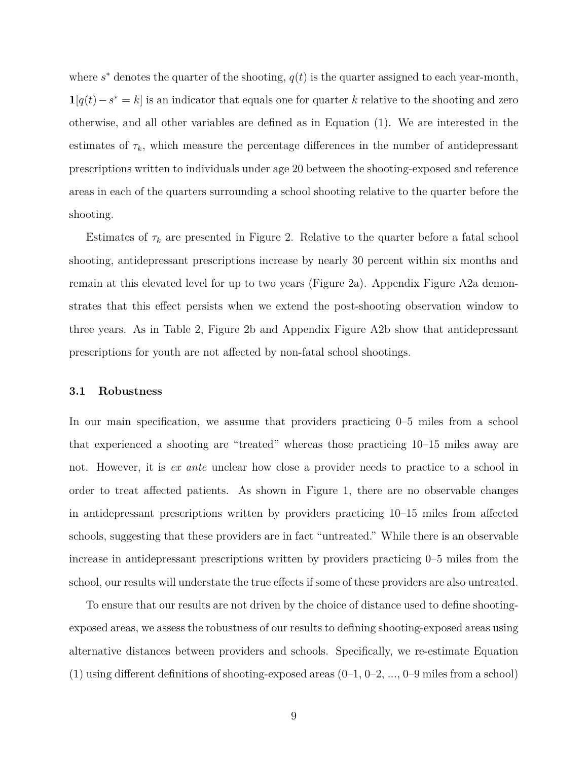where  $s^*$  denotes the quarter of the shooting,  $q(t)$  is the quarter assigned to each year-month, **1**[ $q(t) − s^* = k$ ] is an indicator that equals one for quarter *k* relative to the shooting and zero otherwise, and all other variables are defined as in Equation [\(1\)](#page-8-0). We are interested in the estimates of  $\tau_k$ , which measure the percentage differences in the number of antidepressant prescriptions written to individuals under age 20 between the shooting-exposed and reference areas in each of the quarters surrounding a school shooting relative to the quarter before the shooting.

Estimates of  $\tau_k$  are presented in Figure [2.](#page-22-0) Relative to the quarter before a fatal school shooting, antidepressant prescriptions increase by nearly 30 percent within six months and remain at this elevated level for up to two years (Figure [2a](#page-22-0)). Appendix Figure [A2a](#page-27-0) demonstrates that this effect persists when we extend the post-shooting observation window to three years. As in Table [2,](#page-24-0) Figure [2b](#page-22-0) and Appendix Figure [A2b](#page-27-0) show that antidepressant prescriptions for youth are not affected by non-fatal school shootings.

#### <span id="page-10-0"></span>**3.1 Robustness**

In our main specification, we assume that providers practicing 0–5 miles from a school that experienced a shooting are "treated" whereas those practicing 10–15 miles away are not. However, it is *ex ante* unclear how close a provider needs to practice to a school in order to treat affected patients. As shown in Figure [1,](#page-21-0) there are no observable changes in antidepressant prescriptions written by providers practicing 10–15 miles from affected schools, suggesting that these providers are in fact "untreated." While there is an observable increase in antidepressant prescriptions written by providers practicing 0–5 miles from the school, our results will understate the true effects if some of these providers are also untreated.

To ensure that our results are not driven by the choice of distance used to define shootingexposed areas, we assess the robustness of our results to defining shooting-exposed areas using alternative distances between providers and schools. Specifically, we re-estimate Equation [\(1\)](#page-8-0) using different definitions of shooting-exposed areas  $(0-1, 0-2, ..., 0-9$  miles from a school)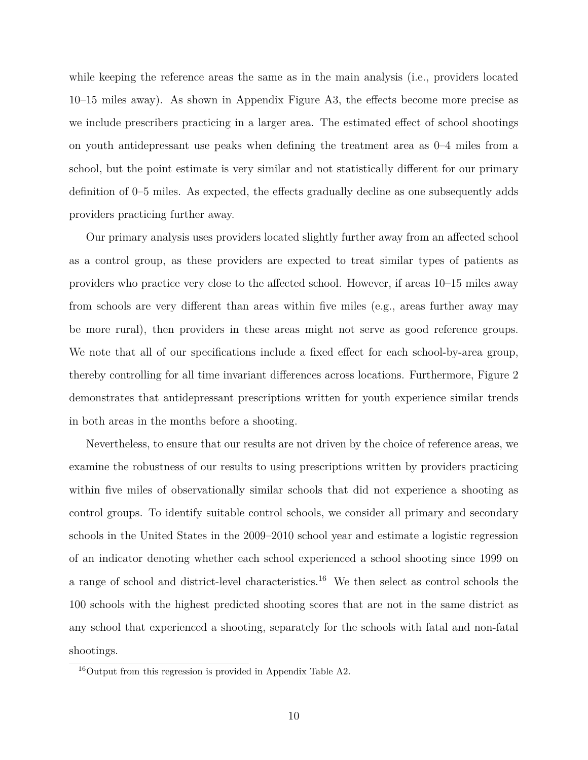while keeping the reference areas the same as in the main analysis (i.e., providers located 10–15 miles away). As shown in Appendix Figure [A3,](#page-28-0) the effects become more precise as we include prescribers practicing in a larger area. The estimated effect of school shootings on youth antidepressant use peaks when defining the treatment area as 0–4 miles from a school, but the point estimate is very similar and not statistically different for our primary definition of 0–5 miles. As expected, the effects gradually decline as one subsequently adds providers practicing further away.

Our primary analysis uses providers located slightly further away from an affected school as a control group, as these providers are expected to treat similar types of patients as providers who practice very close to the affected school. However, if areas 10–15 miles away from schools are very different than areas within five miles (e.g., areas further away may be more rural), then providers in these areas might not serve as good reference groups. We note that all of our specifications include a fixed effect for each school-by-area group, thereby controlling for all time invariant differences across locations. Furthermore, Figure [2](#page-22-0) demonstrates that antidepressant prescriptions written for youth experience similar trends in both areas in the months before a shooting.

Nevertheless, to ensure that our results are not driven by the choice of reference areas, we examine the robustness of our results to using prescriptions written by providers practicing within five miles of observationally similar schools that did not experience a shooting as control groups. To identify suitable control schools, we consider all primary and secondary schools in the United States in the 2009–2010 school year and estimate a logistic regression of an indicator denoting whether each school experienced a school shooting since 1999 on a range of school and district-level characteristics.<sup>16</sup> We then select as control schools the 100 schools with the highest predicted shooting scores that are not in the same district as any school that experienced a shooting, separately for the schools with fatal and non-fatal shootings.

<sup>16</sup>Output from this regression is provided in Appendix Table [A2.](#page-35-0)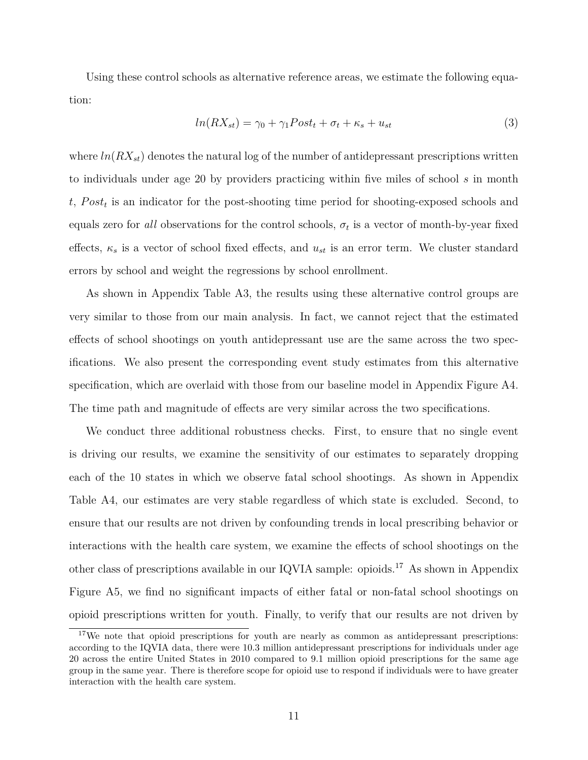Using these control schools as alternative reference areas, we estimate the following equation:

<span id="page-12-0"></span>
$$
ln(RX_{st}) = \gamma_0 + \gamma_1 Post_t + \sigma_t + \kappa_s + u_{st}
$$
\n<sup>(3)</sup>

where  $ln(RX_{st})$  denotes the natural log of the number of antidepressant prescriptions written to individuals under age 20 by providers practicing within five miles of school *s* in month *t*, *P ost<sup>t</sup>* is an indicator for the post-shooting time period for shooting-exposed schools and equals zero for *all* observations for the control schools,  $\sigma_t$  is a vector of month-by-year fixed effects,  $\kappa_s$  is a vector of school fixed effects, and  $u_{st}$  is an error term. We cluster standard errors by school and weight the regressions by school enrollment.

As shown in Appendix Table [A3,](#page-36-0) the results using these alternative control groups are very similar to those from our main analysis. In fact, we cannot reject that the estimated effects of school shootings on youth antidepressant use are the same across the two specifications. We also present the corresponding event study estimates from this alternative specification, which are overlaid with those from our baseline model in Appendix Figure [A4.](#page-29-0) The time path and magnitude of effects are very similar across the two specifications.

We conduct three additional robustness checks. First, to ensure that no single event is driving our results, we examine the sensitivity of our estimates to separately dropping each of the 10 states in which we observe fatal school shootings. As shown in Appendix Table [A4,](#page-37-0) our estimates are very stable regardless of which state is excluded. Second, to ensure that our results are not driven by confounding trends in local prescribing behavior or interactions with the health care system, we examine the effects of school shootings on the other class of prescriptions available in our IQVIA sample: opioids.<sup>17</sup> As shown in Appendix Figure [A5,](#page-30-0) we find no significant impacts of either fatal or non-fatal school shootings on opioid prescriptions written for youth. Finally, to verify that our results are not driven by

<sup>&</sup>lt;sup>17</sup>We note that opioid prescriptions for youth are nearly as common as antidepressant prescriptions: according to the IQVIA data, there were 10.3 million antidepressant prescriptions for individuals under age 20 across the entire United States in 2010 compared to 9.1 million opioid prescriptions for the same age group in the same year. There is therefore scope for opioid use to respond if individuals were to have greater interaction with the health care system.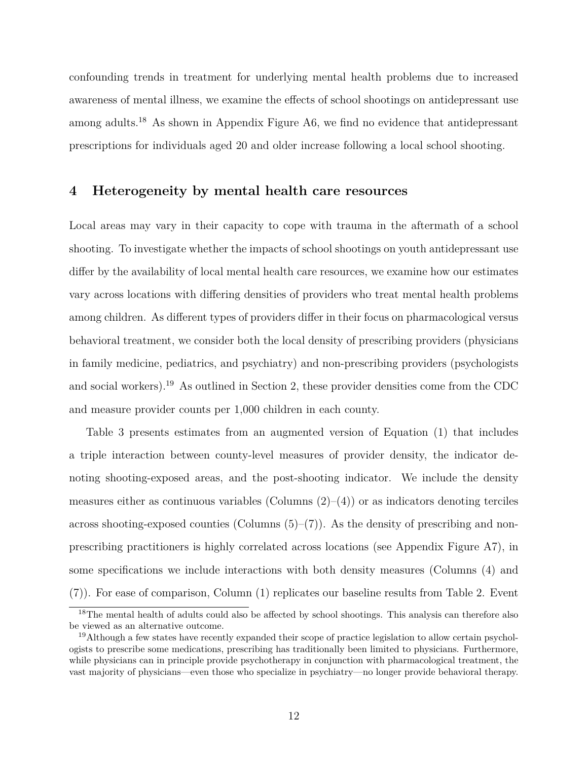confounding trends in treatment for underlying mental health problems due to increased awareness of mental illness, we examine the effects of school shootings on antidepressant use among adults.<sup>18</sup> As shown in Appendix Figure [A6,](#page-31-0) we find no evidence that antidepressant prescriptions for individuals aged 20 and older increase following a local school shooting.

#### **4 Heterogeneity by mental health care resources**

Local areas may vary in their capacity to cope with trauma in the aftermath of a school shooting. To investigate whether the impacts of school shootings on youth antidepressant use differ by the availability of local mental health care resources, we examine how our estimates vary across locations with differing densities of providers who treat mental health problems among children. As different types of providers differ in their focus on pharmacological versus behavioral treatment, we consider both the local density of prescribing providers (physicians in family medicine, pediatrics, and psychiatry) and non-prescribing providers (psychologists and social workers).<sup>19</sup> As outlined in Section [2,](#page-5-0) these provider densities come from the CDC and measure provider counts per 1,000 children in each county.

Table [3](#page-25-0) presents estimates from an augmented version of Equation [\(1\)](#page-8-0) that includes a triple interaction between county-level measures of provider density, the indicator denoting shooting-exposed areas, and the post-shooting indicator. We include the density measures either as continuous variables (Columns  $(2)$ – $(4)$ ) or as indicators denoting terciles across shooting-exposed counties (Columns  $(5)-(7)$ ). As the density of prescribing and nonprescribing practitioners is highly correlated across locations (see Appendix Figure [A7\)](#page-32-0), in some specifications we include interactions with both density measures (Columns (4) and (7)). For ease of comparison, Column (1) replicates our baseline results from Table [2.](#page-24-0) Event

<sup>&</sup>lt;sup>18</sup>The mental health of adults could also be affected by school shootings. This analysis can therefore also be viewed as an alternative outcome.

<sup>&</sup>lt;sup>19</sup>Although a few states have recently expanded their scope of practice legislation to allow certain psychologists to prescribe some medications, prescribing has traditionally been limited to physicians. Furthermore, while physicians can in principle provide psychotherapy in conjunction with pharmacological treatment, the vast majority of physicians—even those who specialize in psychiatry—no longer provide behavioral therapy.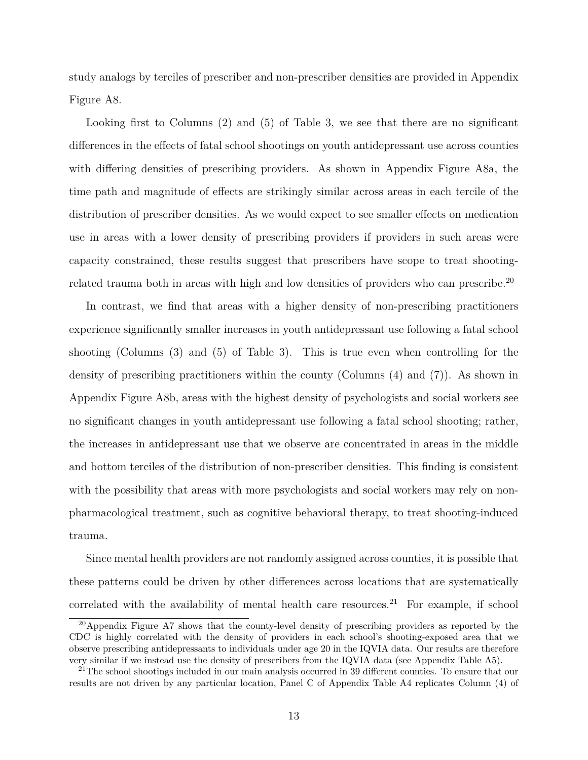study analogs by terciles of prescriber and non-prescriber densities are provided in Appendix Figure [A8.](#page-33-0)

Looking first to Columns (2) and (5) of Table [3,](#page-25-0) we see that there are no significant differences in the effects of fatal school shootings on youth antidepressant use across counties with differing densities of prescribing providers. As shown in Appendix Figure [A8a,](#page-33-1) the time path and magnitude of effects are strikingly similar across areas in each tercile of the distribution of prescriber densities. As we would expect to see smaller effects on medication use in areas with a lower density of prescribing providers if providers in such areas were capacity constrained, these results suggest that prescribers have scope to treat shootingrelated trauma both in areas with high and low densities of providers who can prescribe.<sup>20</sup>

In contrast, we find that areas with a higher density of non-prescribing practitioners experience significantly smaller increases in youth antidepressant use following a fatal school shooting (Columns (3) and (5) of Table [3\)](#page-25-0). This is true even when controlling for the density of prescribing practitioners within the county (Columns (4) and (7)). As shown in Appendix Figure [A8b,](#page-33-2) areas with the highest density of psychologists and social workers see no significant changes in youth antidepressant use following a fatal school shooting; rather, the increases in antidepressant use that we observe are concentrated in areas in the middle and bottom terciles of the distribution of non-prescriber densities. This finding is consistent with the possibility that areas with more psychologists and social workers may rely on nonpharmacological treatment, such as cognitive behavioral therapy, to treat shooting-induced trauma.

Since mental health providers are not randomly assigned across counties, it is possible that these patterns could be driven by other differences across locations that are systematically correlated with the availability of mental health care resources.<sup>21</sup> For example, if school

<sup>&</sup>lt;sup>20</sup>Appendix Figure [A7](#page-32-0) shows that the county-level density of prescribing providers as reported by the CDC is highly correlated with the density of providers in each school's shooting-exposed area that we observe prescribing antidepressants to individuals under age 20 in the IQVIA data. Our results are therefore very similar if we instead use the density of prescribers from the IQVIA data (see Appendix Table [A5\)](#page-38-0).

 $^{21}$ The school shootings included in our main analysis occurred in 39 different counties. To ensure that our results are not driven by any particular location, Panel C of Appendix Table [A4](#page-37-0) replicates Column (4) of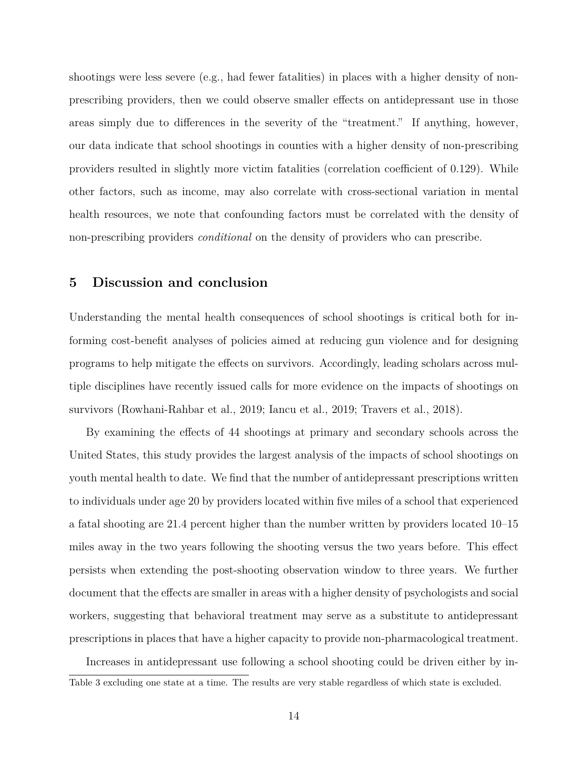shootings were less severe (e.g., had fewer fatalities) in places with a higher density of nonprescribing providers, then we could observe smaller effects on antidepressant use in those areas simply due to differences in the severity of the "treatment." If anything, however, our data indicate that school shootings in counties with a higher density of non-prescribing providers resulted in slightly more victim fatalities (correlation coefficient of 0.129). While other factors, such as income, may also correlate with cross-sectional variation in mental health resources, we note that confounding factors must be correlated with the density of non-prescribing providers *conditional* on the density of providers who can prescribe.

#### **5 Discussion and conclusion**

Understanding the mental health consequences of school shootings is critical both for informing cost-benefit analyses of policies aimed at reducing gun violence and for designing programs to help mitigate the effects on survivors. Accordingly, leading scholars across multiple disciplines have recently issued calls for more evidence on the impacts of shootings on survivors [\(Rowhani-Rahbar et al., 2019;](#page-19-0) [Iancu et al., 2019;](#page-18-0) [Travers et al., 2018\)](#page-20-0).

By examining the effects of 44 shootings at primary and secondary schools across the United States, this study provides the largest analysis of the impacts of school shootings on youth mental health to date. We find that the number of antidepressant prescriptions written to individuals under age 20 by providers located within five miles of a school that experienced a fatal shooting are 21.4 percent higher than the number written by providers located 10–15 miles away in the two years following the shooting versus the two years before. This effect persists when extending the post-shooting observation window to three years. We further document that the effects are smaller in areas with a higher density of psychologists and social workers, suggesting that behavioral treatment may serve as a substitute to antidepressant prescriptions in places that have a higher capacity to provide non-pharmacological treatment.

Increases in antidepressant use following a school shooting could be driven either by in-Table [3](#page-25-0) excluding one state at a time. The results are very stable regardless of which state is excluded.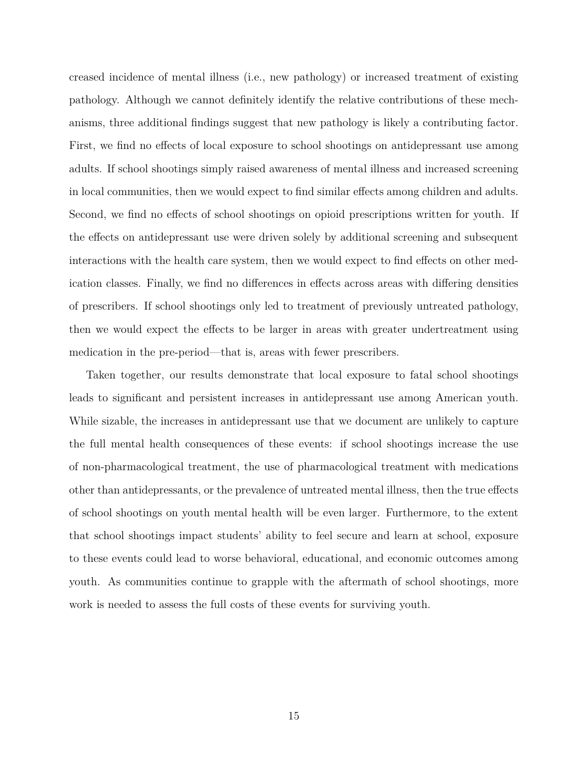creased incidence of mental illness (i.e., new pathology) or increased treatment of existing pathology. Although we cannot definitely identify the relative contributions of these mechanisms, three additional findings suggest that new pathology is likely a contributing factor. First, we find no effects of local exposure to school shootings on antidepressant use among adults. If school shootings simply raised awareness of mental illness and increased screening in local communities, then we would expect to find similar effects among children and adults. Second, we find no effects of school shootings on opioid prescriptions written for youth. If the effects on antidepressant use were driven solely by additional screening and subsequent interactions with the health care system, then we would expect to find effects on other medication classes. Finally, we find no differences in effects across areas with differing densities of prescribers. If school shootings only led to treatment of previously untreated pathology, then we would expect the effects to be larger in areas with greater undertreatment using medication in the pre-period—that is, areas with fewer prescribers.

Taken together, our results demonstrate that local exposure to fatal school shootings leads to significant and persistent increases in antidepressant use among American youth. While sizable, the increases in antidepressant use that we document are unlikely to capture the full mental health consequences of these events: if school shootings increase the use of non-pharmacological treatment, the use of pharmacological treatment with medications other than antidepressants, or the prevalence of untreated mental illness, then the true effects of school shootings on youth mental health will be even larger. Furthermore, to the extent that school shootings impact students' ability to feel secure and learn at school, exposure to these events could lead to worse behavioral, educational, and economic outcomes among youth. As communities continue to grapple with the aftermath of school shootings, more work is needed to assess the full costs of these events for surviving youth.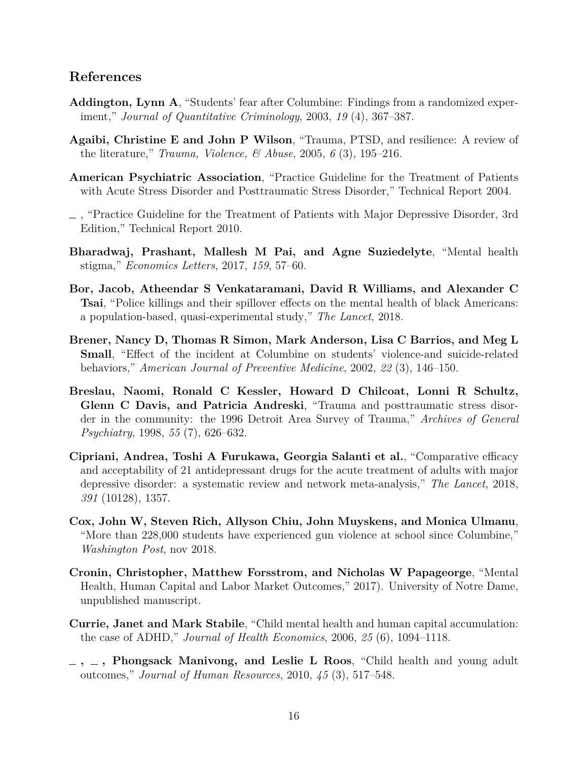### **References**

- <span id="page-17-10"></span>**Addington, Lynn A**, "Students' fear after Columbine: Findings from a randomized experiment," *Journal of Quantitative Criminology*, 2003, *19* (4), 367–387.
- <span id="page-17-8"></span>**Agaibi, Christine E and John P Wilson**, "Trauma, PTSD, and resilience: A review of the literature," *Trauma, Violence, & Abuse*, 2005, *6* (3), 195–216.
- <span id="page-17-3"></span>**American Psychiatric Association**, "Practice Guideline for the Treatment of Patients with Acute Stress Disorder and Posttraumatic Stress Disorder," Technical Report 2004.
- <span id="page-17-4"></span>, "Practice Guideline for the Treatment of Patients with Major Depressive Disorder, 3rd Edition," Technical Report 2010.
- <span id="page-17-7"></span>**Bharadwaj, Prashant, Mallesh M Pai, and Agne Suziedelyte**, "Mental health stigma," *Economics Letters*, 2017, *159*, 57–60.
- <span id="page-17-12"></span>**Bor, Jacob, Atheendar S Venkataramani, David R Williams, and Alexander C Tsai**, "Police killings and their spillover effects on the mental health of black Americans: a population-based, quasi-experimental study," *The Lancet*, 2018.
- <span id="page-17-9"></span>**Brener, Nancy D, Thomas R Simon, Mark Anderson, Lisa C Barrios, and Meg L Small**, "Effect of the incident at Columbine on students' violence-and suicide-related behaviors," *American Journal of Preventive Medicine*, 2002, *22* (3), 146–150.
- <span id="page-17-11"></span>**Breslau, Naomi, Ronald C Kessler, Howard D Chilcoat, Lonni R Schultz, Glenn C Davis, and Patricia Andreski**, "Trauma and posttraumatic stress disorder in the community: the 1996 Detroit Area Survey of Trauma," *Archives of General Psychiatry*, 1998, *55* (7), 626–632.
- <span id="page-17-5"></span>**Cipriani, Andrea, Toshi A Furukawa, Georgia Salanti et al.**, "Comparative efficacy and acceptability of 21 antidepressant drugs for the acute treatment of adults with major depressive disorder: a systematic review and network meta-analysis," *The Lancet*, 2018, *391* (10128), 1357.
- <span id="page-17-0"></span>**Cox, John W, Steven Rich, Allyson Chiu, John Muyskens, and Monica Ulmanu**, "More than 228,000 students have experienced gun violence at school since Columbine," *Washington Post*, nov 2018.
- <span id="page-17-6"></span>**Cronin, Christopher, Matthew Forsstrom, and Nicholas W Papageorge**, "Mental Health, Human Capital and Labor Market Outcomes," 2017). University of Notre Dame, unpublished manuscript.
- <span id="page-17-1"></span>**Currie, Janet and Mark Stabile**, "Child mental health and human capital accumulation: the case of ADHD," *Journal of Health Economics*, 2006, *25* (6), 1094–1118.
- <span id="page-17-2"></span>**, , Phongsack Manivong, and Leslie L Roos**, "Child health and young adult outcomes," *Journal of Human Resources*, 2010, *45* (3), 517–548.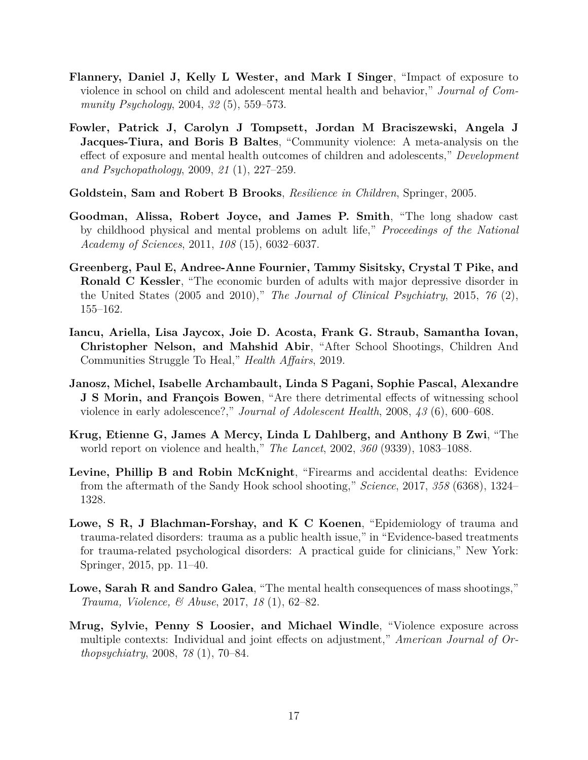- <span id="page-18-9"></span>**Flannery, Daniel J, Kelly L Wester, and Mark I Singer**, "Impact of exposure to violence in school on child and adolescent mental health and behavior," *Journal of Community Psychology*, 2004, *32* (5), 559–573.
- <span id="page-18-7"></span>**Fowler, Patrick J, Carolyn J Tompsett, Jordan M Braciszewski, Angela J Jacques-Tiura, and Boris B Baltes**, "Community violence: A meta-analysis on the effect of exposure and mental health outcomes of children and adolescents," *Development and Psychopathology*, 2009, *21* (1), 227–259.
- <span id="page-18-5"></span>**Goldstein, Sam and Robert B Brooks**, *Resilience in Children*, Springer, 2005.
- <span id="page-18-1"></span>**Goodman, Alissa, Robert Joyce, and James P. Smith**, "The long shadow cast by childhood physical and mental problems on adult life," *Proceedings of the National Academy of Sciences*, 2011, *108* (15), 6032–6037.
- <span id="page-18-2"></span>**Greenberg, Paul E, Andree-Anne Fournier, Tammy Sisitsky, Crystal T Pike, and Ronald C Kessler**, "The economic burden of adults with major depressive disorder in the United States (2005 and 2010)," *The Journal of Clinical Psychiatry*, 2015, *76* (2), 155–162.
- <span id="page-18-0"></span>**Iancu, Ariella, Lisa Jaycox, Joie D. Acosta, Frank G. Straub, Samantha Iovan, Christopher Nelson, and Mahshid Abir**, "After School Shootings, Children And Communities Struggle To Heal," *Health Affairs*, 2019.
- <span id="page-18-10"></span>**Janosz, Michel, Isabelle Archambault, Linda S Pagani, Sophie Pascal, Alexandre J S Morin, and François Bowen**, "Are there detrimental effects of witnessing school violence in early adolescence?," *Journal of Adolescent Health*, 2008, *43* (6), 600–608.
- <span id="page-18-8"></span>**Krug, Etienne G, James A Mercy, Linda L Dahlberg, and Anthony B Zwi**, "The world report on violence and health," *The Lancet*, 2002, *360* (9339), 1083–1088.
- <span id="page-18-3"></span>**Levine, Phillip B and Robin McKnight**, "Firearms and accidental deaths: Evidence from the aftermath of the Sandy Hook school shooting," *Science*, 2017, *358* (6368), 1324– 1328.
- <span id="page-18-6"></span>**Lowe, S R, J Blachman-Forshay, and K C Koenen**, "Epidemiology of trauma and trauma-related disorders: trauma as a public health issue," in "Evidence-based treatments for trauma-related psychological disorders: A practical guide for clinicians," New York: Springer, 2015, pp. 11–40.
- <span id="page-18-4"></span>**Lowe, Sarah R and Sandro Galea**, "The mental health consequences of mass shootings," *Trauma, Violence, & Abuse*, 2017, *18* (1), 62–82.
- <span id="page-18-11"></span>**Mrug, Sylvie, Penny S Loosier, and Michael Windle**, "Violence exposure across multiple contexts: Individual and joint effects on adjustment," *American Journal of Orthopsychiatry*, 2008, *78* (1), 70–84.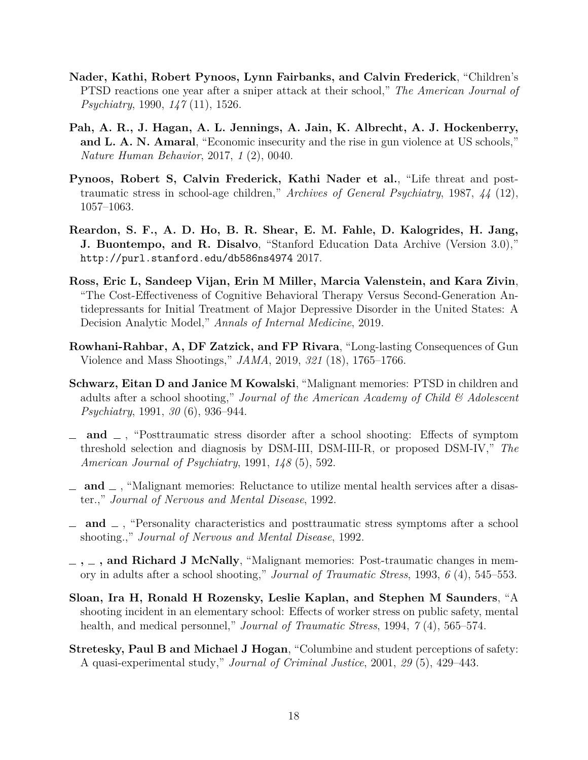- <span id="page-19-4"></span>**Nader, Kathi, Robert Pynoos, Lynn Fairbanks, and Calvin Frederick**, "Children's PTSD reactions one year after a sniper attack at their school," *The American Journal of Psychiatry*, 1990, *147* (11), 1526.
- <span id="page-19-2"></span>**Pah, A. R., J. Hagan, A. L. Jennings, A. Jain, K. Albrecht, A. J. Hockenberry, and L. A. N. Amaral**, "Economic insecurity and the rise in gun violence at US schools," *Nature Human Behavior*, 2017, *1* (2), 0040.
- <span id="page-19-3"></span>**Pynoos, Robert S, Calvin Frederick, Kathi Nader et al.**, "Life threat and posttraumatic stress in school-age children," *Archives of General Psychiatry*, 1987, *44* (12), 1057–1063.
- <span id="page-19-12"></span>**Reardon, S. F., A. D. Ho, B. R. Shear, E. M. Fahle, D. Kalogrides, H. Jang, J. Buontempo, and R. Disalvo**, "Stanford Education Data Archive (Version 3.0)," <http://purl.stanford.edu/db586ns4974> 2017.
- <span id="page-19-1"></span>**Ross, Eric L, Sandeep Vijan, Erin M Miller, Marcia Valenstein, and Kara Zivin**, "The Cost-Effectiveness of Cognitive Behavioral Therapy Versus Second-Generation Antidepressants for Initial Treatment of Major Depressive Disorder in the United States: A Decision Analytic Model," *Annals of Internal Medicine*, 2019.
- <span id="page-19-0"></span>**Rowhani-Rahbar, A, DF Zatzick, and FP Rivara**, "Long-lasting Consequences of Gun Violence and Mass Shootings," *JAMA*, 2019, *321* (18), 1765–1766.
- <span id="page-19-5"></span>**Schwarz, Eitan D and Janice M Kowalski**, "Malignant memories: PTSD in children and adults after a school shooting," *Journal of the American Academy of Child & Adolescent Psychiatry*, 1991, *30* (6), 936–944.
- <span id="page-19-6"></span>**and** , "Posttraumatic stress disorder after a school shooting: Effects of symptom threshold selection and diagnosis by DSM-III, DSM-III-R, or proposed DSM-IV," *The American Journal of Psychiatry*, 1991, *148* (5), 592.
- <span id="page-19-8"></span>**and** , "Malignant memories: Reluctance to utilize mental health services after a disaster.," *Journal of Nervous and Mental Disease*, 1992.
- <span id="page-19-7"></span>**and** , "Personality characteristics and posttraumatic stress symptoms after a school shooting.," *Journal of Nervous and Mental Disease*, 1992.
- <span id="page-19-9"></span>**, , and Richard J McNally**, "Malignant memories: Post-traumatic changes in memory in adults after a school shooting," *Journal of Traumatic Stress*, 1993, *6* (4), 545–553.
- <span id="page-19-10"></span>**Sloan, Ira H, Ronald H Rozensky, Leslie Kaplan, and Stephen M Saunders**, "A shooting incident in an elementary school: Effects of worker stress on public safety, mental health, and medical personnel," *Journal of Traumatic Stress*, 1994, *7* (4), 565–574.
- <span id="page-19-11"></span>**Stretesky, Paul B and Michael J Hogan**, "Columbine and student perceptions of safety: A quasi-experimental study," *Journal of Criminal Justice*, 2001, *29* (5), 429–443.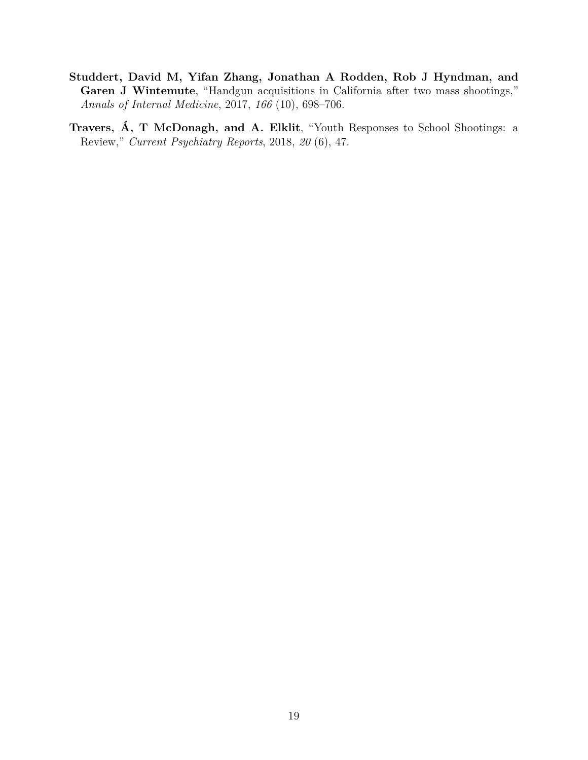- <span id="page-20-1"></span>**Studdert, David M, Yifan Zhang, Jonathan A Rodden, Rob J Hyndman, and Garen J Wintemute**, "Handgun acquisitions in California after two mass shootings," *Annals of Internal Medicine*, 2017, *166* (10), 698–706.
- <span id="page-20-0"></span>**Travers, Á, T McDonagh, and A. Elklit**, "Youth Responses to School Shootings: a Review," *Current Psychiatry Reports*, 2018, *20* (6), 47.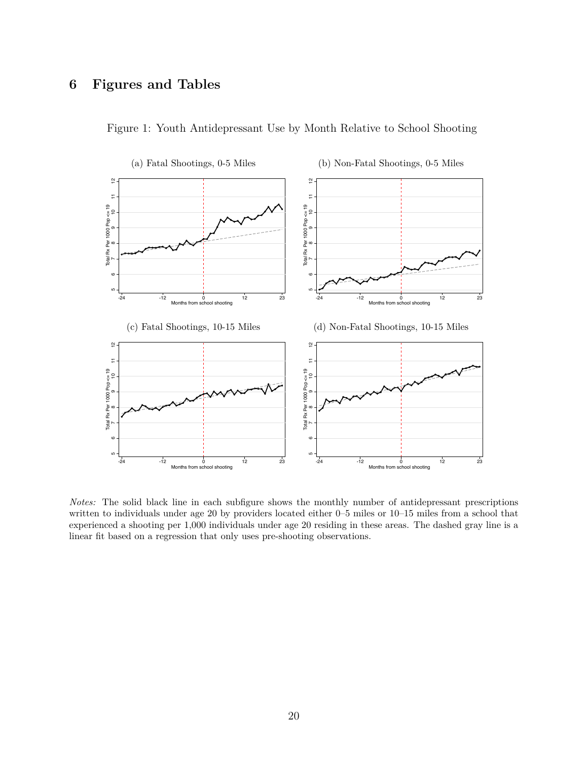### **6 Figures and Tables**



<span id="page-21-0"></span>Figure 1: Youth Antidepressant Use by Month Relative to School Shooting

*Notes:* The solid black line in each subfigure shows the monthly number of antidepressant prescriptions written to individuals under age 20 by providers located either 0–5 miles or 10–15 miles from a school that experienced a shooting per 1,000 individuals under age 20 residing in these areas. The dashed gray line is a linear fit based on a regression that only uses pre-shooting observations.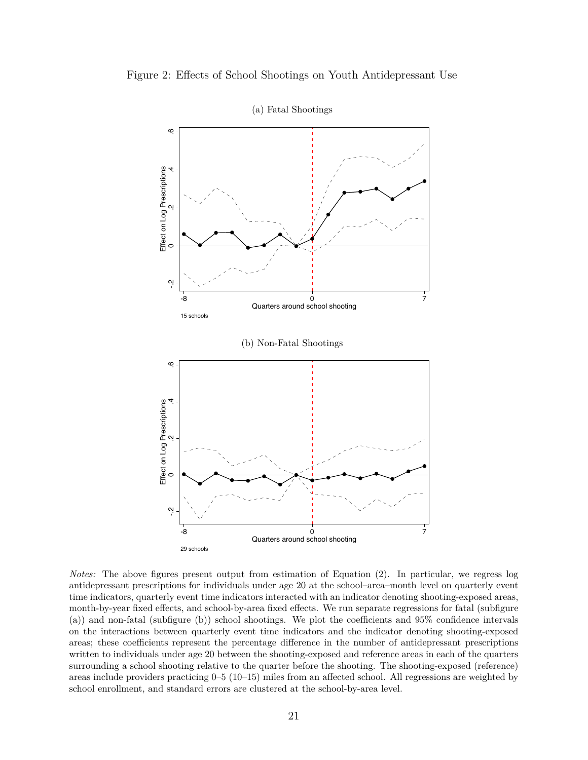<span id="page-22-0"></span>



*Notes:* The above figures present output from estimation of Equation [\(2\)](#page-9-0). In particular, we regress log antidepressant prescriptions for individuals under age 20 at the school–area–month level on quarterly event time indicators, quarterly event time indicators interacted with an indicator denoting shooting-exposed areas, month-by-year fixed effects, and school-by-area fixed effects. We run separate regressions for fatal (subfigure (a)) and non-fatal (subfigure (b)) school shootings. We plot the coefficients and 95% confidence intervals on the interactions between quarterly event time indicators and the indicator denoting shooting-exposed areas; these coefficients represent the percentage difference in the number of antidepressant prescriptions written to individuals under age 20 between the shooting-exposed and reference areas in each of the quarters surrounding a school shooting relative to the quarter before the shooting. The shooting-exposed (reference) areas include providers practicing 0–5 (10–15) miles from an affected school. All regressions are weighted by school enrollment, and standard errors are clustered at the school-by-area level.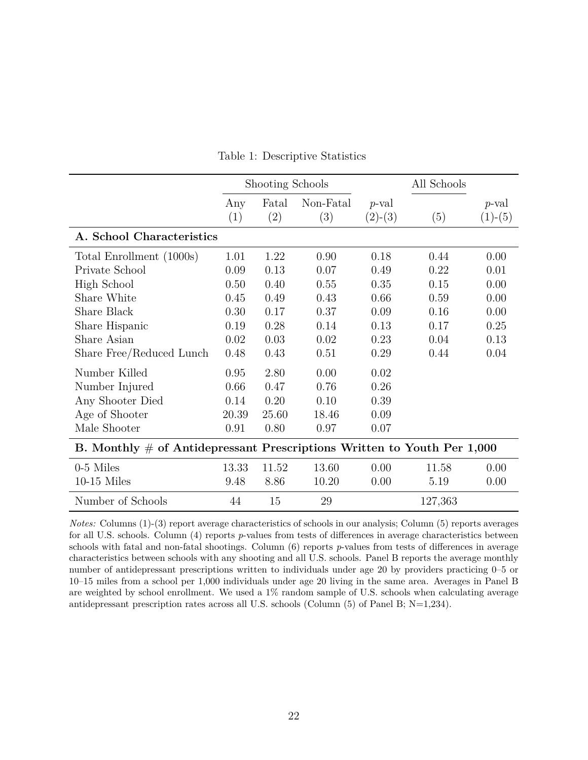<span id="page-23-0"></span>

|                                                                            |            | Shooting Schools |                  |                       | All Schools |                       |  |  |  |
|----------------------------------------------------------------------------|------------|------------------|------------------|-----------------------|-------------|-----------------------|--|--|--|
|                                                                            | Any<br>(1) | Fatal<br>(2)     | Non-Fatal<br>(3) | $p$ -val<br>$(2)-(3)$ | (5)         | $p$ -val<br>$(1)-(5)$ |  |  |  |
| A. School Characteristics                                                  |            |                  |                  |                       |             |                       |  |  |  |
| Total Enrollment (1000s)                                                   | 1.01       | 1.22             | 0.90             | 0.18                  | 0.44        | 0.00                  |  |  |  |
| Private School                                                             | 0.09       | 0.13             | 0.07             | 0.49                  | 0.22        | 0.01                  |  |  |  |
| High School                                                                | 0.50       | 0.40             | 0.55             | 0.35                  | 0.15        | 0.00                  |  |  |  |
| Share White                                                                | 0.45       | 0.49             | 0.43             | 0.66                  | 0.59        | 0.00                  |  |  |  |
| Share Black                                                                | 0.30       | 0.17             | 0.37             | 0.09                  | 0.16        | 0.00                  |  |  |  |
| Share Hispanic                                                             | 0.19       | 0.28             | 0.14             | 0.13                  | 0.17        | 0.25                  |  |  |  |
| Share Asian                                                                | 0.02       | 0.03             | 0.02             | 0.23                  | 0.04        | 0.13                  |  |  |  |
| Share Free/Reduced Lunch                                                   | 0.48       | 0.43             | 0.51             | 0.29                  | 0.44        | 0.04                  |  |  |  |
| Number Killed                                                              | 0.95       | 2.80             | 0.00             | 0.02                  |             |                       |  |  |  |
| Number Injured                                                             | 0.66       | 0.47             | 0.76             | 0.26                  |             |                       |  |  |  |
| Any Shooter Died                                                           | 0.14       | 0.20             | 0.10             | 0.39                  |             |                       |  |  |  |
| Age of Shooter                                                             | 20.39      | 25.60            | 18.46            | 0.09                  |             |                       |  |  |  |
| Male Shooter                                                               | 0.91       | 0.80             | 0.97             | 0.07                  |             |                       |  |  |  |
| B. Monthly $\#$ of Antidepressant Prescriptions Written to Youth Per 1,000 |            |                  |                  |                       |             |                       |  |  |  |
| 0-5 Miles                                                                  | 13.33      | 11.52            | 13.60            | 0.00                  | 11.58       | 0.00                  |  |  |  |
| $10-15$ Miles                                                              | 9.48       | 8.86             | 10.20            | 0.00                  | 5.19        | 0.00                  |  |  |  |
| Number of Schools                                                          | 44         | 15               | $29\,$           |                       | 127,363     |                       |  |  |  |

Table 1: Descriptive Statistics

*Notes:* Columns (1)-(3) report average characteristics of schools in our analysis; Column (5) reports averages for all U.S. schools. Column (4) reports *p*-values from tests of differences in average characteristics between schools with fatal and non-fatal shootings. Column (6) reports *p*-values from tests of differences in average characteristics between schools with any shooting and all U.S. schools. Panel B reports the average monthly number of antidepressant prescriptions written to individuals under age 20 by providers practicing 0–5 or 10–15 miles from a school per 1,000 individuals under age 20 living in the same area. Averages in Panel B are weighted by school enrollment. We used a 1% random sample of U.S. schools when calculating average antidepressant prescription rates across all U.S. schools (Column (5) of Panel B; N=1,234).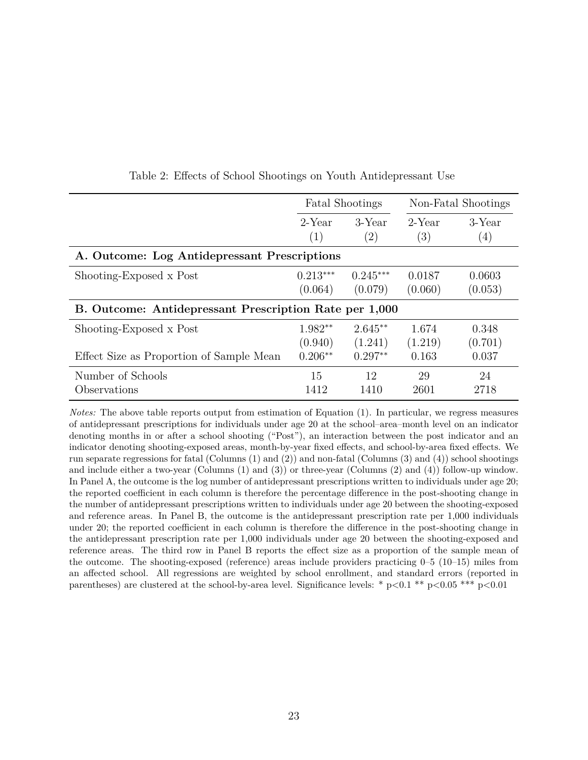<span id="page-24-0"></span>

|                                                        |               | <b>Fatal Shootings</b>         |               | Non-Fatal Shootings |  |  |  |  |
|--------------------------------------------------------|---------------|--------------------------------|---------------|---------------------|--|--|--|--|
|                                                        | 2-Year<br>(1) | $3$ -Year<br>$\left( 2\right)$ | 2-Year<br>(3) | $3$ -Year<br>(4)    |  |  |  |  |
| A. Outcome: Log Antidepressant Prescriptions           |               |                                |               |                     |  |  |  |  |
| Shooting-Exposed x Post                                | $0.213***$    | $0.245***$                     | 0.0187        | 0.0603              |  |  |  |  |
|                                                        | (0.064)       | (0.079)                        | (0.060)       | (0.053)             |  |  |  |  |
| B. Outcome: Antidepressant Prescription Rate per 1,000 |               |                                |               |                     |  |  |  |  |
| Shooting-Exposed x Post                                | $1.982**$     | $2.645**$                      | 1.674         | 0.348               |  |  |  |  |
|                                                        | (0.940)       | (1.241)                        | (1.219)       | (0.701)             |  |  |  |  |
| Effect Size as Proportion of Sample Mean               | $0.206**$     | $0.297**$                      | 0.163         | 0.037               |  |  |  |  |
| Number of Schools                                      | 15            | 12                             | 29            | 24                  |  |  |  |  |
| Observations                                           | 1412          | 1410                           | 2601          | 2718                |  |  |  |  |

<span id="page-24-1"></span>Table 2: Effects of School Shootings on Youth Antidepressant Use

*Notes:* The above table reports output from estimation of Equation [\(1\)](#page-8-0). In particular, we regress measures of antidepressant prescriptions for individuals under age 20 at the school–area–month level on an indicator denoting months in or after a school shooting ("Post"), an interaction between the post indicator and an indicator denoting shooting-exposed areas, month-by-year fixed effects, and school-by-area fixed effects. We run separate regressions for fatal (Columns (1) and (2)) and non-fatal (Columns (3) and (4)) school shootings and include either a two-year (Columns (1) and (3)) or three-year (Columns (2) and (4)) follow-up window. In Panel A, the outcome is the log number of antidepressant prescriptions written to individuals under age 20; the reported coefficient in each column is therefore the percentage difference in the post-shooting change in the number of antidepressant prescriptions written to individuals under age 20 between the shooting-exposed and reference areas. In Panel B, the outcome is the antidepressant prescription rate per 1,000 individuals under 20; the reported coefficient in each column is therefore the difference in the post-shooting change in the antidepressant prescription rate per 1,000 individuals under age 20 between the shooting-exposed and reference areas. The third row in Panel B reports the effect size as a proportion of the sample mean of the outcome. The shooting-exposed (reference) areas include providers practicing 0–5 (10–15) miles from an affected school. All regressions are weighted by school enrollment, and standard errors (reported in parentheses) are clustered at the school-by-area level. Significance levels: \* p*<*0.1 \*\* p*<*0.05 \*\*\* p*<*0.01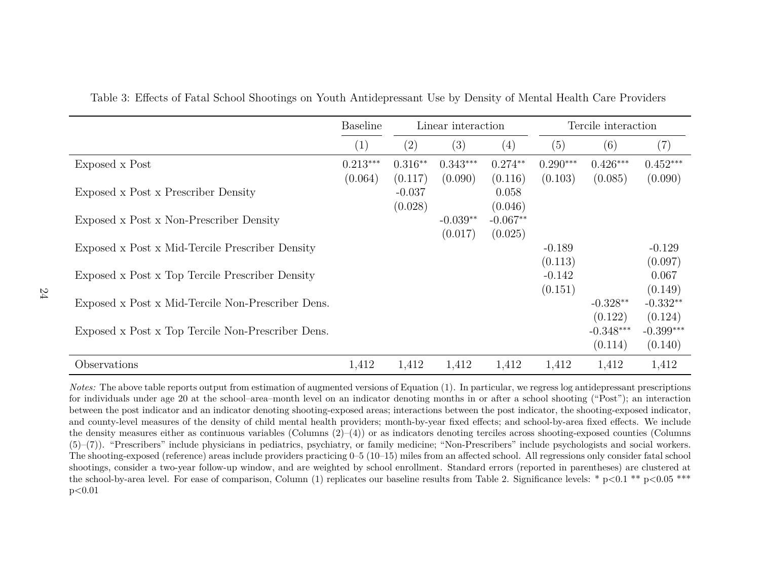|                                                   | <b>Baseline</b>       |                      | Linear interaction    |                       |                       | Tercile interaction               |                                   |
|---------------------------------------------------|-----------------------|----------------------|-----------------------|-----------------------|-----------------------|-----------------------------------|-----------------------------------|
|                                                   | (1)                   | (2)                  | (3)                   | (4)                   | (5)                   | (6)                               | $\left( 7\right)$                 |
| Exposed x Post                                    | $0.213***$<br>(0.064) | $0.316**$<br>(0.117) | $0.343***$<br>(0.090) | $0.274**$<br>(0.116)  | $0.290***$<br>(0.103) | $0.426***$<br>(0.085)             | $0.452***$<br>(0.090)             |
| Exposed x Post x Prescriber Density               |                       | $-0.037$<br>(0.028)  |                       | 0.058<br>(0.046)      |                       |                                   |                                   |
| Exposed x Post x Non-Prescriber Density           |                       |                      | $-0.039**$<br>(0.017) | $-0.067**$<br>(0.025) |                       |                                   |                                   |
| Exposed x Post x Mid-Tercile Prescriber Density   |                       |                      |                       |                       | $-0.189$<br>(0.113)   |                                   | $-0.129$<br>(0.097)               |
| Exposed x Post x Top Tercile Prescriber Density   |                       |                      |                       |                       | $-0.142$<br>(0.151)   |                                   | 0.067<br>(0.149)                  |
| Exposed x Post x Mid-Tercile Non-Prescriber Dens. |                       |                      |                       |                       |                       | $-0.328**$                        | $-0.332**$                        |
| Exposed x Post x Top Tercile Non-Prescriber Dens. |                       |                      |                       |                       |                       | (0.122)<br>$-0.348***$<br>(0.114) | (0.124)<br>$-0.399***$<br>(0.140) |
| Observations                                      | 1,412                 | 1,412                | 1,412                 | 1,412                 | 1,412                 | 1,412                             | 1,412                             |

<span id="page-25-1"></span>Table 3: Effects of Fatal School Shootings on Youth Antidepressant Use by Density of Mental Health Care Providers

<span id="page-25-0"></span>*Notes:* The above table reports output from estimation of augmented versions of Equation [\(1\)](#page-8-1). In particular, we regress log antidepressant prescriptions for individuals under age <sup>20</sup> at the school–area–month level on an indicator denoting months in or after <sup>a</sup> school shooting ("Post"); an interaction between the post indicator and an indicator denoting shooting-exposed areas; interactions between the post indicator, the shooting-exposed indicator,and county-level measures of the density of child mental health providers; month-by-year fixed effects; and school-by-area fixed effects. We include the density measures either as continuous variables (Columns (2)–(4)) or as indicators denoting terciles across shooting-exposed counties (Columns (5)–(7)). "Prescribers" include <sup>p</sup>hysicians in pediatrics, psychiatry, or family medicine; "Non-Prescribers" include psychologists and social workers.The shooting-exposed (reference) areas include providers practicing 0–5 (10–15) miles from an affected school. All regressions only consider fatal schoolshootings, consider <sup>a</sup> two-year follow-up window, and are weighted by school enrollment. Standard errors (reported in parentheses) are clustered at the school-by-area level. For ease of comparison, Column (1) replicates our baseline results from Table [2.](#page-24-1) Significance levels: \* <sup>p</sup>*<sup>&</sup>lt;*0.1 \*\* <sup>p</sup>*<*0.05 \*\*\*p*<*0.01

24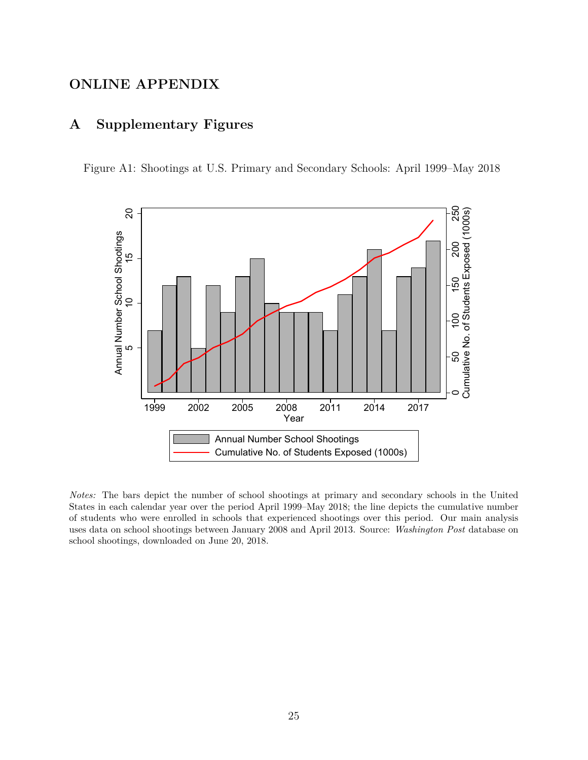## **ONLINE APPENDIX**

### **A Supplementary Figures**

<span id="page-26-0"></span>Figure A1: Shootings at U.S. Primary and Secondary Schools: April 1999–May 2018



*Notes:* The bars depict the number of school shootings at primary and secondary schools in the United States in each calendar year over the period April 1999–May 2018; the line depicts the cumulative number of students who were enrolled in schools that experienced shootings over this period. Our main analysis uses data on school shootings between January 2008 and April 2013. Source: *Washington Post* database on school shootings, downloaded on June 20, 2018.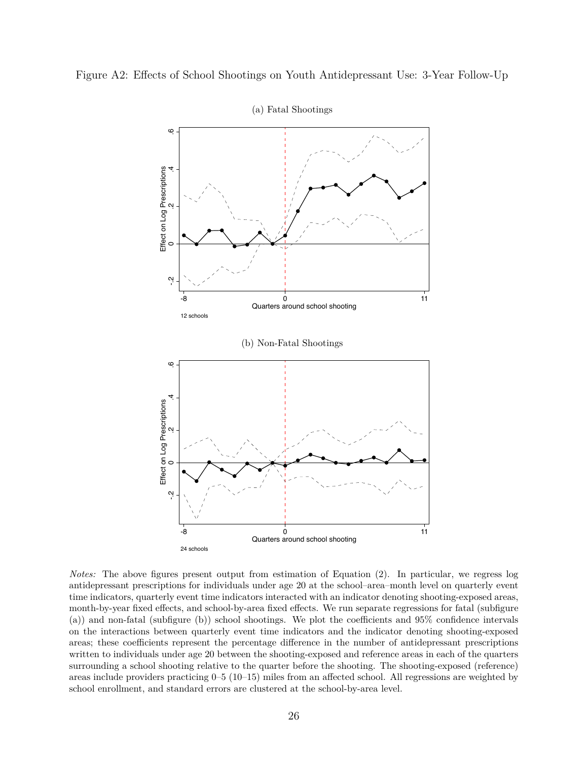<span id="page-27-0"></span>



(a) Fatal Shootings

*Notes:* The above figures present output from estimation of Equation [\(2\)](#page-9-0). In particular, we regress log antidepressant prescriptions for individuals under age 20 at the school–area–month level on quarterly event time indicators, quarterly event time indicators interacted with an indicator denoting shooting-exposed areas, month-by-year fixed effects, and school-by-area fixed effects. We run separate regressions for fatal (subfigure (a)) and non-fatal (subfigure (b)) school shootings. We plot the coefficients and 95% confidence intervals on the interactions between quarterly event time indicators and the indicator denoting shooting-exposed areas; these coefficients represent the percentage difference in the number of antidepressant prescriptions written to individuals under age 20 between the shooting-exposed and reference areas in each of the quarters surrounding a school shooting relative to the quarter before the shooting. The shooting-exposed (reference) areas include providers practicing 0–5 (10–15) miles from an affected school. All regressions are weighted by school enrollment, and standard errors are clustered at the school-by-area level.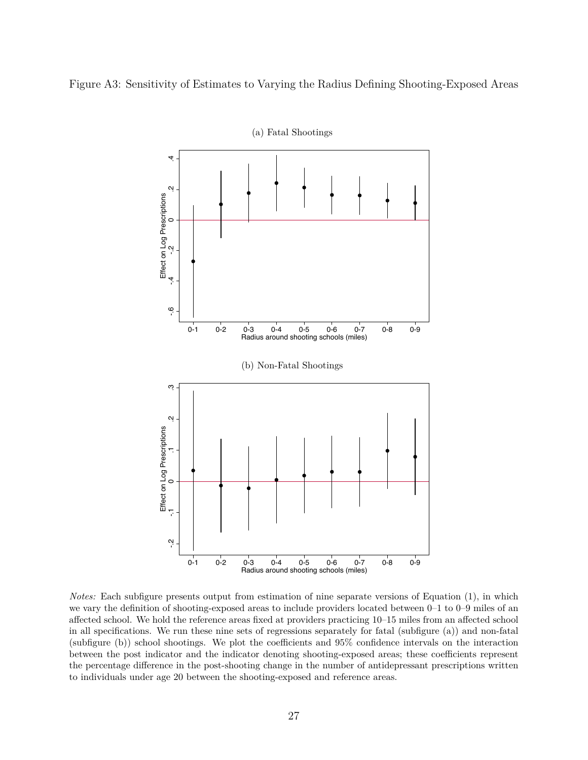<span id="page-28-0"></span>Figure A3: Sensitivity of Estimates to Varying the Radius Defining Shooting-Exposed Areas



*Notes:* Each subfigure presents output from estimation of nine separate versions of Equation [\(1\)](#page-8-0), in which we vary the definition of shooting-exposed areas to include providers located between 0–1 to 0–9 miles of an affected school. We hold the reference areas fixed at providers practicing 10–15 miles from an affected school in all specifications. We run these nine sets of regressions separately for fatal (subfigure (a)) and non-fatal (subfigure (b)) school shootings. We plot the coefficients and 95% confidence intervals on the interaction between the post indicator and the indicator denoting shooting-exposed areas; these coefficients represent the percentage difference in the post-shooting change in the number of antidepressant prescriptions written to individuals under age 20 between the shooting-exposed and reference areas.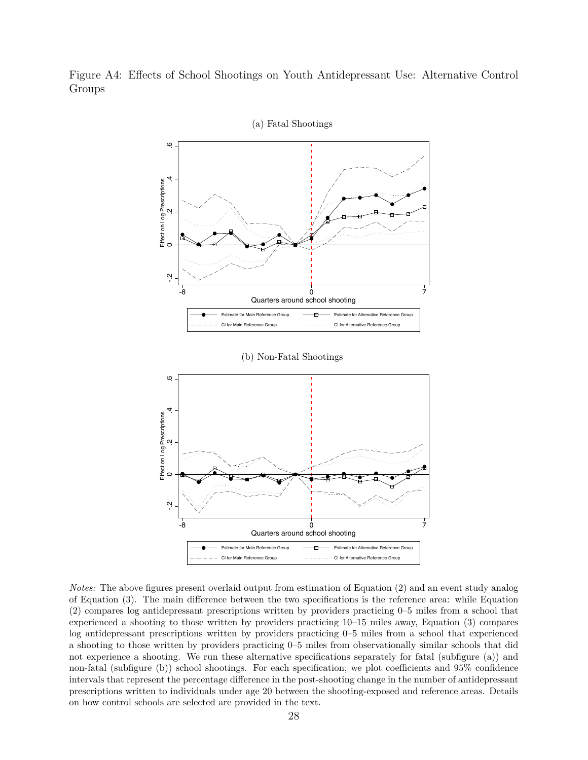<span id="page-29-0"></span>



*Notes:* The above figures present overlaid output from estimation of Equation [\(2\)](#page-9-0) and an event study analog of Equation [\(3\)](#page-12-0). The main difference between the two specifications is the reference area: while Equation [\(2\)](#page-9-0) compares log antidepressant prescriptions written by providers practicing 0–5 miles from a school that experienced a shooting to those written by providers practicing 10–15 miles away, Equation [\(3\)](#page-12-0) compares log antidepressant prescriptions written by providers practicing 0–5 miles from a school that experienced a shooting to those written by providers practicing 0–5 miles from observationally similar schools that did not experience a shooting. We run these alternative specifications separately for fatal (subfigure (a)) and non-fatal (subfigure (b)) school shootings. For each specification, we plot coefficients and 95% confidence intervals that represent the percentage difference in the post-shooting change in the number of antidepressant prescriptions written to individuals under age 20 between the shooting-exposed and reference areas. Details on how control schools are selected are provided in the text.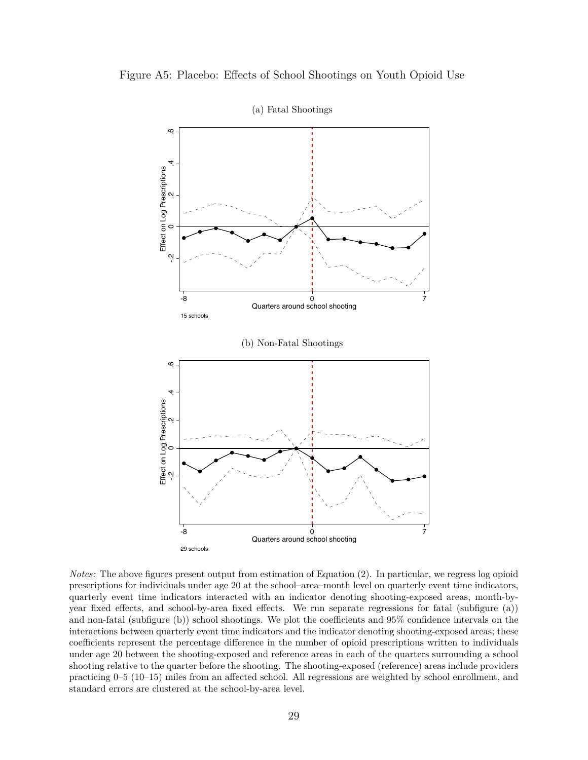<span id="page-30-0"></span>



*Notes:* The above figures present output from estimation of Equation [\(2\)](#page-9-0). In particular, we regress log opioid prescriptions for individuals under age 20 at the school–area–month level on quarterly event time indicators, quarterly event time indicators interacted with an indicator denoting shooting-exposed areas, month-byyear fixed effects, and school-by-area fixed effects. We run separate regressions for fatal (subfigure (a)) and non-fatal (subfigure (b)) school shootings. We plot the coefficients and 95% confidence intervals on the interactions between quarterly event time indicators and the indicator denoting shooting-exposed areas; these coefficients represent the percentage difference in the number of opioid prescriptions written to individuals under age 20 between the shooting-exposed and reference areas in each of the quarters surrounding a school shooting relative to the quarter before the shooting. The shooting-exposed (reference) areas include providers practicing 0–5 (10–15) miles from an affected school. All regressions are weighted by school enrollment, and standard errors are clustered at the school-by-area level.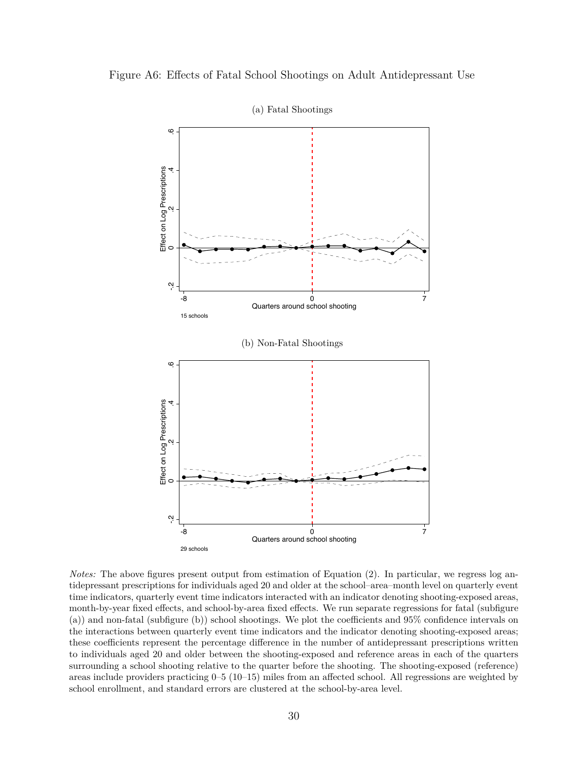<span id="page-31-0"></span>





*Notes:* The above figures present output from estimation of Equation [\(2\)](#page-9-0). In particular, we regress log antidepressant prescriptions for individuals aged 20 and older at the school–area–month level on quarterly event time indicators, quarterly event time indicators interacted with an indicator denoting shooting-exposed areas, month-by-year fixed effects, and school-by-area fixed effects. We run separate regressions for fatal (subfigure (a)) and non-fatal (subfigure (b)) school shootings. We plot the coefficients and 95% confidence intervals on the interactions between quarterly event time indicators and the indicator denoting shooting-exposed areas; these coefficients represent the percentage difference in the number of antidepressant prescriptions written to individuals aged 20 and older between the shooting-exposed and reference areas in each of the quarters surrounding a school shooting relative to the quarter before the shooting. The shooting-exposed (reference) areas include providers practicing 0–5 (10–15) miles from an affected school. All regressions are weighted by school enrollment, and standard errors are clustered at the school-by-area level.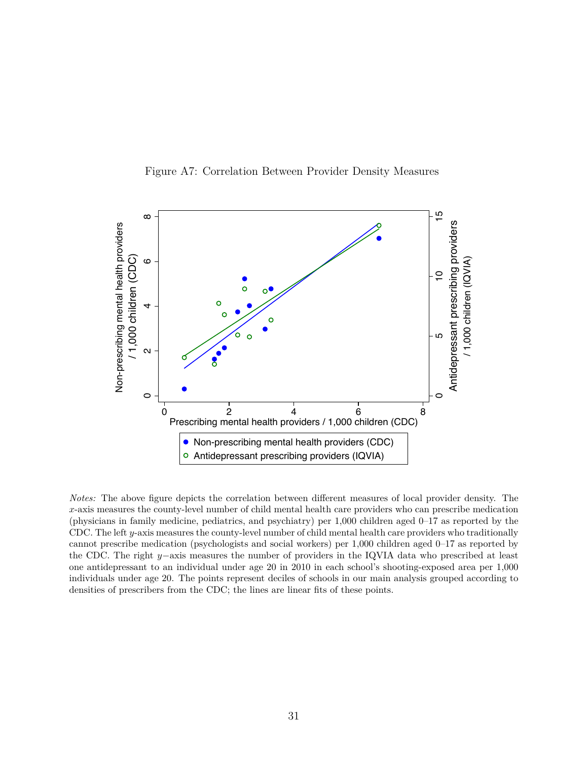

<span id="page-32-0"></span>

*Notes:* The above figure depicts the correlation between different measures of local provider density. The *x*-axis measures the county-level number of child mental health care providers who can prescribe medication (physicians in family medicine, pediatrics, and psychiatry) per 1,000 children aged 0–17 as reported by the CDC. The left *y*-axis measures the county-level number of child mental health care providers who traditionally cannot prescribe medication (psychologists and social workers) per 1,000 children aged 0–17 as reported by the CDC. The right *y*−axis measures the number of providers in the IQVIA data who prescribed at least one antidepressant to an individual under age 20 in 2010 in each school's shooting-exposed area per 1,000 individuals under age 20. The points represent deciles of schools in our main analysis grouped according to densities of prescribers from the CDC; the lines are linear fits of these points.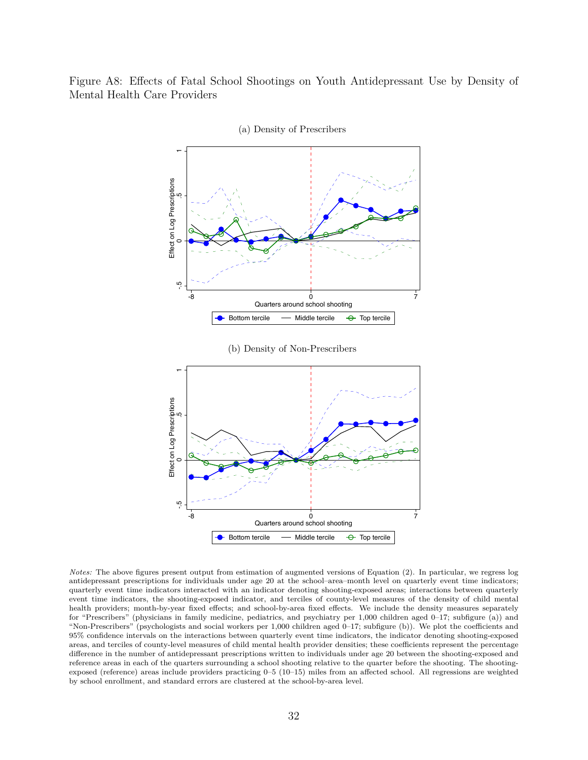<span id="page-33-1"></span><span id="page-33-0"></span>Figure A8: Effects of Fatal School Shootings on Youth Antidepressant Use by Density of Mental Health Care Providers



(a) Density of Prescribers

<span id="page-33-2"></span>*Notes:* The above figures present output from estimation of augmented versions of Equation [\(2\)](#page-9-0). In particular, we regress log antidepressant prescriptions for individuals under age 20 at the school–area–month level on quarterly event time indicators; quarterly event time indicators interacted with an indicator denoting shooting-exposed areas; interactions between quarterly event time indicators, the shooting-exposed indicator, and terciles of county-level measures of the density of child mental health providers; month-by-year fixed effects; and school-by-area fixed effects. We include the density measures separately for "Prescribers" (physicians in family medicine, pediatrics, and psychiatry per 1,000 children aged 0–17; subfigure (a)) and "Non-Prescribers" (psychologists and social workers per 1,000 children aged 0–17; subfigure (b)). We plot the coefficients and 95% confidence intervals on the interactions between quarterly event time indicators, the indicator denoting shooting-exposed areas, and terciles of county-level measures of child mental health provider densities; these coefficients represent the percentage difference in the number of antidepressant prescriptions written to individuals under age 20 between the shooting-exposed and reference areas in each of the quarters surrounding a school shooting relative to the quarter before the shooting. The shootingexposed (reference) areas include providers practicing 0–5 (10–15) miles from an affected school. All regressions are weighted by school enrollment, and standard errors are clustered at the school-by-area level.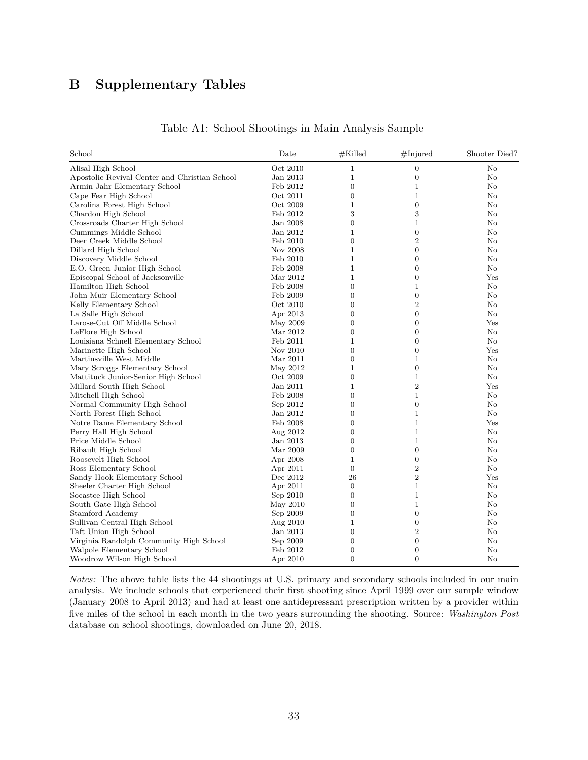# **B Supplementary Tables**

<span id="page-34-0"></span>

| School                                        | Date     | $#$ Killed       | #Injured         | Shooter Died? |
|-----------------------------------------------|----------|------------------|------------------|---------------|
| Alisal High School                            | Oct 2010 | 1                | $\boldsymbol{0}$ | No            |
| Apostolic Revival Center and Christian School | Jan 2013 | $\mathbf{1}$     | $\boldsymbol{0}$ | No            |
| Armin Jahr Elementary School                  | Feb 2012 | $\overline{0}$   | 1                | No            |
| Cape Fear High School                         | Oct 2011 | $\mathbf{0}$     | $\mathbf{1}$     | $\rm No$      |
| Carolina Forest High School                   | Oct 2009 | 1                | $\overline{0}$   | No            |
| Chardon High School                           | Feb 2012 | 3                | 3                | $\rm No$      |
| Crossroads Charter High School                | Jan 2008 | $\overline{0}$   | $\mathbf{1}$     | No            |
| Cummings Middle School                        | Jan 2012 | 1                | $\boldsymbol{0}$ | $\rm No$      |
| Deer Creek Middle School                      | Feb 2010 | $\overline{0}$   | $\overline{2}$   | No            |
| Dillard High School                           | Nov 2008 | 1                | $\boldsymbol{0}$ | $\rm No$      |
| Discovery Middle School                       | Feb 2010 | $\mathbf{1}$     | $\boldsymbol{0}$ | $\rm No$      |
| E.O. Green Junior High School                 | Feb 2008 | 1                | $\overline{0}$   | No            |
| Episcopal School of Jacksonville              | Mar 2012 | $\mathbf{1}$     | $\boldsymbol{0}$ | Yes           |
| Hamilton High School                          | Feb 2008 | $\overline{0}$   | 1                | No            |
| John Muir Elementary School                   | Feb 2009 | 0                | $\boldsymbol{0}$ | $\rm No$      |
| Kelly Elementary School                       | Oct 2010 | $\overline{0}$   | $\overline{2}$   | No            |
| La Salle High School                          | Apr 2013 | $\overline{0}$   | $\overline{0}$   | No            |
| Larose-Cut Off Middle School                  | May 2009 | $\overline{0}$   | $\boldsymbol{0}$ | Yes           |
| LeFlore High School                           | Mar 2012 | $\overline{0}$   | $\overline{0}$   | No            |
| Louisiana Schnell Elementary School           | Feb 2011 | 1                | $\boldsymbol{0}$ | $\rm No$      |
| Marinette High School                         | Nov 2010 | $\overline{0}$   | $\boldsymbol{0}$ | Yes           |
| Martinsville West Middle                      | Mar 2011 | $\overline{0}$   | $\mathbf 1$      | $\rm No$      |
| Mary Scroggs Elementary School                | May 2012 | $\mathbf 1$      | $\boldsymbol{0}$ | No            |
| Mattituck Junior-Senior High School           | Oct 2009 | $\overline{0}$   | $\mathbf{1}$     | No            |
| Millard South High School                     | Jan 2011 | 1                | $\overline{2}$   | Yes           |
| Mitchell High School                          | Feb 2008 | $\overline{0}$   | $\mathbf{1}$     | No            |
| Normal Community High School                  | Sep 2012 | $\boldsymbol{0}$ | $\boldsymbol{0}$ | No            |
| North Forest High School                      | Jan 2012 | $\boldsymbol{0}$ | $\mathbf{1}$     | $\rm No$      |
| Notre Dame Elementary School                  | Feb 2008 | $\overline{0}$   | $\mathbf{1}$     | Yes           |
| Perry Hall High School                        | Aug 2012 | $\mathbf{0}$     | $\mathbf 1$      | $\rm No$      |
| Price Middle School                           | Jan 2013 | $\overline{0}$   | $\mathbf{1}$     | No            |
| Ribault High School                           | Mar 2009 | $\overline{0}$   | $\boldsymbol{0}$ | $\rm No$      |
| Roosevelt High School                         | Apr 2008 | 1                | $\boldsymbol{0}$ | No            |
| Ross Elementary School                        | Apr 2011 | $\boldsymbol{0}$ | $\overline{2}$   | No            |
| Sandy Hook Elementary School                  | Dec 2012 | 26               | $\overline{2}$   | Yes           |
| Sheeler Charter High School                   | Apr 2011 | $\overline{0}$   | $\mathbf{1}$     | No            |
| Socastee High School                          | Sep 2010 | $\boldsymbol{0}$ | $\mathbf{1}$     | $\rm No$      |
| South Gate High School                        | May 2010 | $\overline{0}$   | $\mathbf{1}$     | No            |
| Stamford Academy                              | Sep 2009 | $\boldsymbol{0}$ | $\boldsymbol{0}$ | No            |
| Sullivan Central High School                  | Aug 2010 | $\mathbf{1}$     | $\overline{0}$   | No            |
| Taft Union High School                        | Jan 2013 | $\overline{0}$   | $\overline{2}$   | No            |
| Virginia Randolph Community High School       | Sep 2009 | $\overline{0}$   | $\boldsymbol{0}$ | $\rm No$      |
| Walpole Elementary School                     | Feb 2012 | $\overline{0}$   | $\boldsymbol{0}$ | No            |
| Woodrow Wilson High School                    | Apr 2010 | $\overline{0}$   | $\overline{0}$   | $\rm No$      |

Table A1: School Shootings in Main Analysis Sample

*Notes:* The above table lists the 44 shootings at U.S. primary and secondary schools included in our main analysis. We include schools that experienced their first shooting since April 1999 over our sample window (January 2008 to April 2013) and had at least one antidepressant prescription written by a provider within five miles of the school in each month in the two years surrounding the shooting. Source: *Washington Post* database on school shootings, downloaded on June 20, 2018.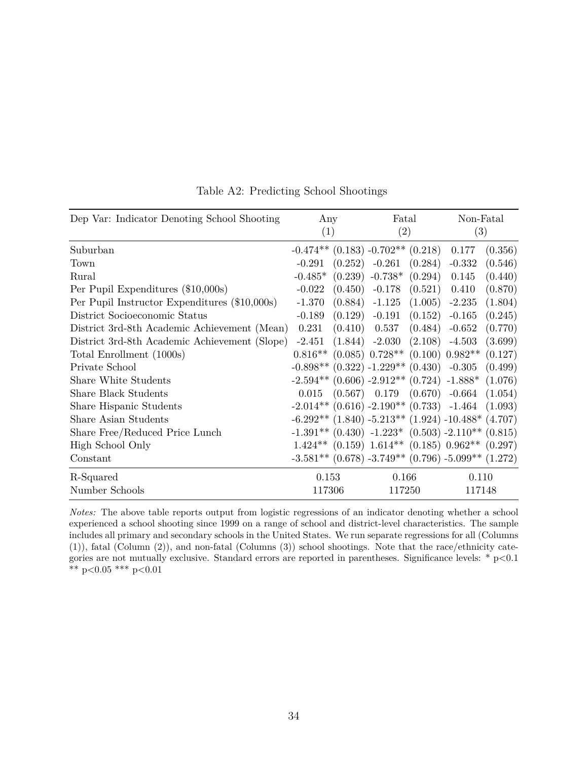<span id="page-35-0"></span>

| Dep Var: Indicator Denoting School Shooting   | Any<br>(1) |  | Fatal<br>(2)                                  | Non-Fatal<br>$\left( 3\right)$                                |         |
|-----------------------------------------------|------------|--|-----------------------------------------------|---------------------------------------------------------------|---------|
| Suburban                                      |            |  | $-0.474**$ (0.183) $-0.702**$ (0.218)         | 0.177                                                         | (0.356) |
| Town                                          | $-0.291$   |  | $(0.252)$ -0.261 $(0.284)$                    | $-0.332$                                                      | (0.546) |
| Rural                                         | $-0.485*$  |  | $(0.239)$ -0.738* $(0.294)$                   | 0.145                                                         | (0.440) |
| Per Pupil Expenditures (\$10,000s)            | $-0.022$   |  | $(0.450)$ -0.178 $(0.521)$                    | 0.410                                                         | (0.870) |
| Per Pupil Instructor Expenditures (\$10,000s) | $-1.370$   |  | $(0.884)$ -1.125 $(1.005)$ -2.235             |                                                               | (1.804) |
| District Socioeconomic Status                 | $-0.189$   |  | $(0.129)$ $-0.191$ $(0.152)$ $-0.165$         |                                                               | (0.245) |
| District 3rd-8th Academic Achievement (Mean)  | 0.231      |  | $(0.410)$ $0.537$ $(0.484)$ $-0.652$          |                                                               | (0.770) |
| District 3rd-8th Academic Achievement (Slope) | $-2.451$   |  | $(1.844)$ $-2.030$ $(2.108)$ $-4.503$         |                                                               | (3.699) |
| Total Enrollment (1000s)                      |            |  | $0.816**$ (0.085) $0.728**$ (0.100) $0.982**$ |                                                               | (0.127) |
| Private School                                |            |  |                                               | $-0.898**$ $(0.322)$ $-1.229**$ $(0.430)$ $-0.305$ $(0.499)$  |         |
| Share White Students                          |            |  |                                               | $-2.594**$ (0.606) $-2.912**$ (0.724) $-1.888*$ (1.076)       |         |
| <b>Share Black Students</b>                   |            |  |                                               | $0.015$ $(0.567)$ $0.179$ $(0.670)$ $-0.664$ $(1.054)$        |         |
| Share Hispanic Students                       |            |  |                                               | $-2.014**$ (0.616) $-2.190**$ (0.733) $-1.464$ (1.093)        |         |
| Share Asian Students                          |            |  |                                               | $-6.292**$ (1.840) $-5.213**$ (1.924) $-10.488*$ (4.707)      |         |
| Share Free/Reduced Price Lunch                |            |  |                                               | $-1.391**$ $(0.430)$ $-1.223*$ $(0.503)$ $-2.110**$ $(0.815)$ |         |
| High School Only                              |            |  |                                               | $1.424**$ (0.159) $1.614**$ (0.185) $0.962**$ (0.297)         |         |
| Constant                                      |            |  |                                               | $-3.581**$ (0.678) $-3.749**$ (0.796) $-5.099**$ (1.272)      |         |
| R-Squared                                     | 0.153      |  | 0.166                                         | 0.110                                                         |         |
| Number Schools                                | 117306     |  | 117250                                        | 117148                                                        |         |

Table A2: Predicting School Shootings

*Notes:* The above table reports output from logistic regressions of an indicator denoting whether a school experienced a school shooting since 1999 on a range of school and district-level characteristics. The sample includes all primary and secondary schools in the United States. We run separate regressions for all (Columns (1)), fatal (Column (2)), and non-fatal (Columns (3)) school shootings. Note that the race/ethnicity categories are not mutually exclusive. Standard errors are reported in parentheses. Significance levels: \* p*<*0.1 \*\* p*<*0.05 \*\*\* p*<*0.01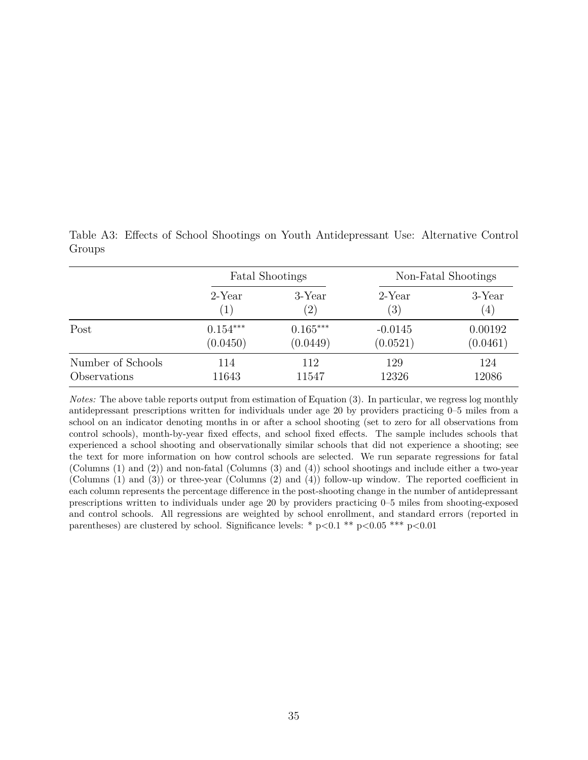Fatal Shootings Non-Fatal Shootings 2-Year 3-Year 2-Year 3-Year  $(1)$   $(2)$   $(3)$   $(4)$ Post 0.154<sup>∗∗∗</sup> 0.165<sup>∗∗∗</sup> -0.0145 0.00192  $(0.0450)$   $(0.0449)$   $(0.0521)$   $(0.0461)$ Number of Schools 114 112 129 124 Observations 11643 11547 12326 12086

<span id="page-36-0"></span>Table A3: Effects of School Shootings on Youth Antidepressant Use: Alternative Control Groups

*Notes:* The above table reports output from estimation of Equation [\(3\)](#page-12-0). In particular, we regress log monthly antidepressant prescriptions written for individuals under age 20 by providers practicing 0–5 miles from a school on an indicator denoting months in or after a school shooting (set to zero for all observations from control schools), month-by-year fixed effects, and school fixed effects. The sample includes schools that experienced a school shooting and observationally similar schools that did not experience a shooting; see the text for more information on how control schools are selected. We run separate regressions for fatal (Columns (1) and (2)) and non-fatal (Columns (3) and (4)) school shootings and include either a two-year (Columns (1) and (3)) or three-year (Columns (2) and (4)) follow-up window. The reported coefficient in each column represents the percentage difference in the post-shooting change in the number of antidepressant prescriptions written to individuals under age 20 by providers practicing 0–5 miles from shooting-exposed and control schools. All regressions are weighted by school enrollment, and standard errors (reported in parentheses) are clustered by school. Significance levels: \* p*<*0.1 \*\* p*<*0.05 \*\*\* p*<*0.01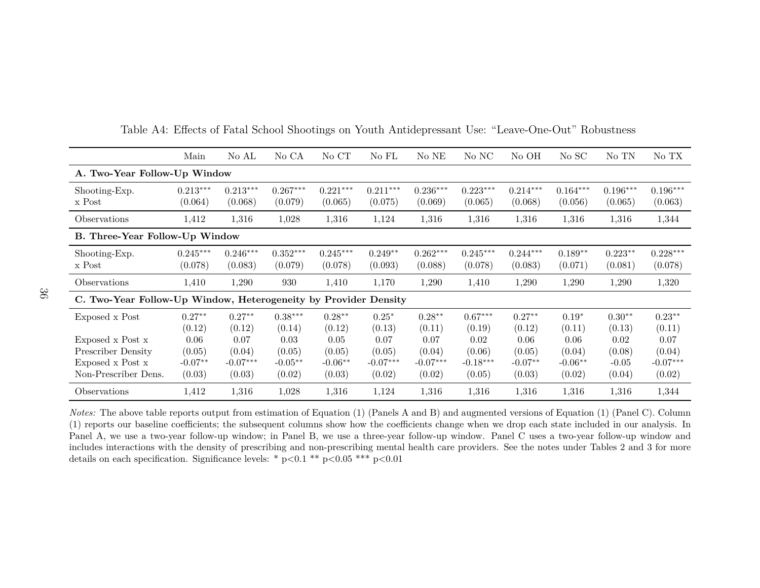|                                                                 | Main                  | No AL                 | No CA                 | No CT                 | No FL                 | No NE                 | No NC                 | No OH                 | No SC                 | No TN                 | No TX                 |
|-----------------------------------------------------------------|-----------------------|-----------------------|-----------------------|-----------------------|-----------------------|-----------------------|-----------------------|-----------------------|-----------------------|-----------------------|-----------------------|
| A. Two-Year Follow-Up Window                                    |                       |                       |                       |                       |                       |                       |                       |                       |                       |                       |                       |
| Shooting-Exp.<br>x Post                                         | $0.213***$<br>(0.064) | $0.213***$<br>(0.068) | $0.267***$<br>(0.079) | $0.221***$<br>(0.065) | $0.211***$<br>(0.075) | $0.236***$<br>(0.069) | $0.223***$<br>(0.065) | $0.214***$<br>(0.068) | $0.164***$<br>(0.056) | $0.196***$<br>(0.065) | $0.196***$<br>(0.063) |
| Observations                                                    | 1,412                 | 1,316                 | 1,028                 | 1,316                 | 1,124                 | 1,316                 | 1,316                 | 1,316                 | 1,316                 | 1,316                 | 1,344                 |
| B. Three-Year Follow-Up Window                                  |                       |                       |                       |                       |                       |                       |                       |                       |                       |                       |                       |
| Shooting-Exp.<br>x Post                                         | $0.245***$<br>(0.078) | $0.246***$<br>(0.083) | $0.352***$<br>(0.079) | $0.245***$<br>(0.078) | $0.249**$<br>(0.093)  | $0.262***$<br>(0.088) | $0.245***$<br>(0.078) | $0.244***$<br>(0.083) | $0.189**$<br>(0.071)  | $0.223**$<br>(0.081)  | $0.228***$<br>(0.078) |
| Observations                                                    | 1,410                 | 1,290                 | 930                   | 1,410                 | 1,170                 | 1,290                 | 1,410                 | 1,290                 | 1,290                 | 1,290                 | 1,320                 |
| C. Two-Year Follow-Up Window, Heterogeneity by Provider Density |                       |                       |                       |                       |                       |                       |                       |                       |                       |                       |                       |
| Exposed x Post                                                  | $0.27**$<br>(0.12)    | $0.27**$<br>(0.12)    | $0.38***$<br>(0.14)   | $0.28**$<br>(0.12)    | $0.25*$<br>(0.13)     | $0.28**$<br>(0.11)    | $0.67***$<br>(0.19)   | $0.27**$<br>(0.12)    | $0.19*$<br>(0.11)     | $0.30**$<br>(0.13)    | $0.23**$<br>(0.11)    |
| Exposed x Post x                                                | 0.06                  | 0.07                  | 0.03                  | 0.05                  | 0.07                  | 0.07                  | 0.02                  | 0.06                  | 0.06                  | 0.02                  | 0.07                  |
| <b>Prescriber Density</b>                                       | (0.05)                | (0.04)                | (0.05)                | (0.05)                | (0.05)                | (0.04)                | (0.06)                | (0.05)                | (0.04)                | (0.08)                | (0.04)                |
| Exposed x Post x                                                | $-0.07**$             | $-0.07***$            | $-0.05**$             | $-0.06**$             | $-0.07***$            | $-0.07***$            | $-0.18***$            | $-0.07**$             | $-0.06**$             | $-0.05$               | $-0.07***$            |
| Non-Prescriber Dens.                                            | (0.03)                | (0.03)                | (0.02)                | (0.03)                | (0.02)                | (0.02)                | (0.05)                | (0.03)                | (0.02)                | (0.04)                | (0.02)                |
| Observations                                                    | 1,412                 | 1,316                 | 1,028                 | 1,316                 | 1,124                 | 1,316                 | 1,316                 | 1,316                 | 1,316                 | 1,316                 | 1,344                 |

Table A4: Effects of Fatal School Shootings on Youth Antidepressant Use: "Leave-One-Out" Robustness

<span id="page-37-0"></span>*Notes:* The above table reports output from estimation of Equation ([1\)](#page-8-1) (Panels <sup>A</sup> and B) and augmented versions of Equation ([1\)](#page-8-1) (Panel C). Column (1) reports our baseline coefficients; the subsequent columns show how the coefficients change when we drop each state included in our analysis. In Panel A, we use <sup>a</sup> two-year follow-up window; in Panel B, we use <sup>a</sup> three-year follow-up window. Panel C uses <sup>a</sup> two-year follow-up window and includes interactions with the density of prescribing and non-prescribing mental health care providers. See the notes under Tables [2](#page-24-1) and [3](#page-25-1) for moredetails on each specification. Significance levels: \* <sup>p</sup>*<sup>&</sup>lt;*0.1 \*\* <sup>p</sup>*<sup>&</sup>lt;*0.05 \*\*\* <sup>p</sup>*<*0.01